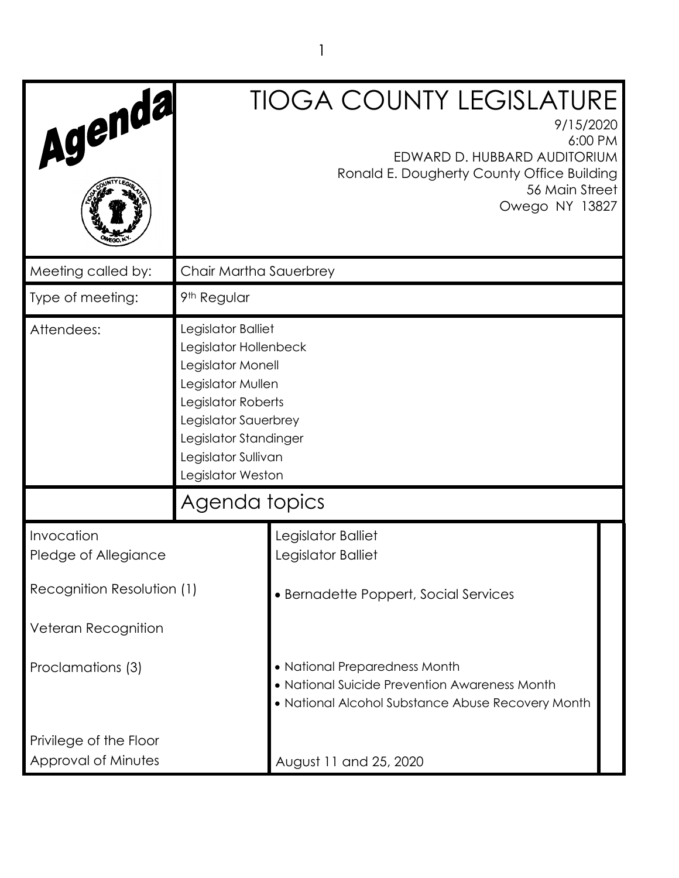| Agenda                                                                  |                                                                                                                                                                                                          | <b>TIOGA COUNTY LEGISLATURE</b><br>9/15/2020<br>6:00 PM<br>EDWARD D. HUBBARD AUDITORIUM<br>Ronald E. Dougherty County Office Building<br>56 Main Street<br>Owego NY 13827 |  |
|-------------------------------------------------------------------------|----------------------------------------------------------------------------------------------------------------------------------------------------------------------------------------------------------|---------------------------------------------------------------------------------------------------------------------------------------------------------------------------|--|
| Meeting called by:                                                      | Chair Martha Sauerbrey                                                                                                                                                                                   |                                                                                                                                                                           |  |
| Type of meeting:                                                        | 9 <sup>th</sup> Regular                                                                                                                                                                                  |                                                                                                                                                                           |  |
| Attendees:                                                              | Legislator Balliet<br>Legislator Hollenbeck<br>Legislator Monell<br>Legislator Mullen<br>Legislator Roberts<br>Legislator Sauerbrey<br>Legislator Standinger<br>Legislator Sullivan<br>Legislator Weston |                                                                                                                                                                           |  |
|                                                                         | Agenda topics                                                                                                                                                                                            |                                                                                                                                                                           |  |
| Invocation<br>Pledge of Allegiance                                      |                                                                                                                                                                                                          | Legislator Balliet<br>Legislator Balliet                                                                                                                                  |  |
| Recognition Resolution (1)                                              |                                                                                                                                                                                                          | • Bernadette Poppert, Social Services                                                                                                                                     |  |
| Veteran Recognition                                                     |                                                                                                                                                                                                          |                                                                                                                                                                           |  |
| Proclamations (3)                                                       |                                                                                                                                                                                                          | • National Preparedness Month<br>• National Suicide Prevention Awareness Month<br>• National Alcohol Substance Abuse Recovery Month                                       |  |
| Privilege of the Floor<br>Approval of Minutes<br>August 11 and 25, 2020 |                                                                                                                                                                                                          |                                                                                                                                                                           |  |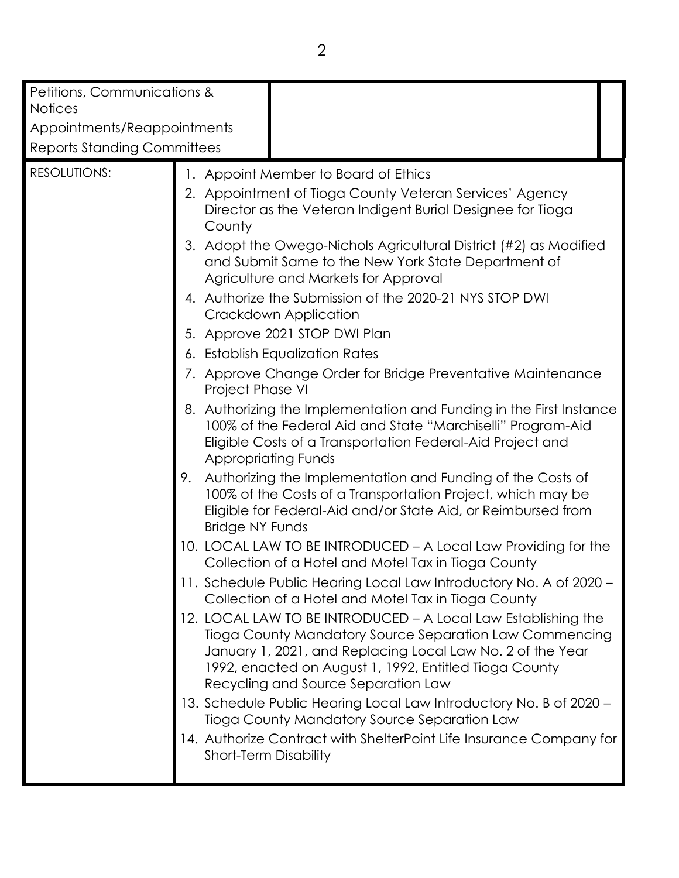| Petitions, Communications &        |                                                                                                                                                                                                                                                      |                                                                                                                                                                                                                                                                                         |  |
|------------------------------------|------------------------------------------------------------------------------------------------------------------------------------------------------------------------------------------------------------------------------------------------------|-----------------------------------------------------------------------------------------------------------------------------------------------------------------------------------------------------------------------------------------------------------------------------------------|--|
| <b>Notices</b>                     |                                                                                                                                                                                                                                                      |                                                                                                                                                                                                                                                                                         |  |
| Appointments/Reappointments        |                                                                                                                                                                                                                                                      |                                                                                                                                                                                                                                                                                         |  |
| <b>Reports Standing Committees</b> |                                                                                                                                                                                                                                                      |                                                                                                                                                                                                                                                                                         |  |
| <b>RESOLUTIONS:</b>                |                                                                                                                                                                                                                                                      | 1. Appoint Member to Board of Ethics                                                                                                                                                                                                                                                    |  |
|                                    | County                                                                                                                                                                                                                                               | 2. Appointment of Tioga County Veteran Services' Agency<br>Director as the Veteran Indigent Burial Designee for Tioga                                                                                                                                                                   |  |
|                                    | 3. Adopt the Owego-Nichols Agricultural District (#2) as Modified<br>and Submit Same to the New York State Department of<br>Agriculture and Markets for Approval<br>4. Authorize the Submission of the 2020-21 NYS STOP DWI<br>Crackdown Application |                                                                                                                                                                                                                                                                                         |  |
|                                    |                                                                                                                                                                                                                                                      |                                                                                                                                                                                                                                                                                         |  |
|                                    |                                                                                                                                                                                                                                                      | 5. Approve 2021 STOP DWI Plan                                                                                                                                                                                                                                                           |  |
|                                    |                                                                                                                                                                                                                                                      | 6. Establish Equalization Rates                                                                                                                                                                                                                                                         |  |
| Project Phase VI                   |                                                                                                                                                                                                                                                      | 7. Approve Change Order for Bridge Preventative Maintenance                                                                                                                                                                                                                             |  |
|                                    | <b>Appropriating Funds</b>                                                                                                                                                                                                                           | 8. Authorizing the Implementation and Funding in the First Instance<br>100% of the Federal Aid and State "Marchiselli" Program-Aid<br>Eligible Costs of a Transportation Federal-Aid Project and                                                                                        |  |
| 9.                                 | <b>Bridge NY Funds</b>                                                                                                                                                                                                                               | Authorizing the Implementation and Funding of the Costs of<br>100% of the Costs of a Transportation Project, which may be<br>Eligible for Federal-Aid and/or State Aid, or Reimbursed from                                                                                              |  |
|                                    |                                                                                                                                                                                                                                                      | 10. LOCAL LAW TO BE INTRODUCED – A Local Law Providing for the<br>Collection of a Hotel and Motel Tax in Tioga County                                                                                                                                                                   |  |
|                                    |                                                                                                                                                                                                                                                      | 11. Schedule Public Hearing Local Law Introductory No. A of 2020 -<br>Collection of a Hotel and Motel Tax in Tioga County                                                                                                                                                               |  |
|                                    |                                                                                                                                                                                                                                                      | 12. LOCAL LAW TO BE INTRODUCED - A Local Law Establishing the<br>Tioga County Mandatory Source Separation Law Commencing<br>January 1, 2021, and Replacing Local Law No. 2 of the Year<br>1992, enacted on August 1, 1992, Entitled Tioga County<br>Recycling and Source Separation Law |  |
|                                    |                                                                                                                                                                                                                                                      | 13. Schedule Public Hearing Local Law Introductory No. B of 2020 -<br>Tioga County Mandatory Source Separation Law                                                                                                                                                                      |  |
|                                    | <b>Short-Term Disability</b>                                                                                                                                                                                                                         | 14. Authorize Contract with ShelterPoint Life Insurance Company for                                                                                                                                                                                                                     |  |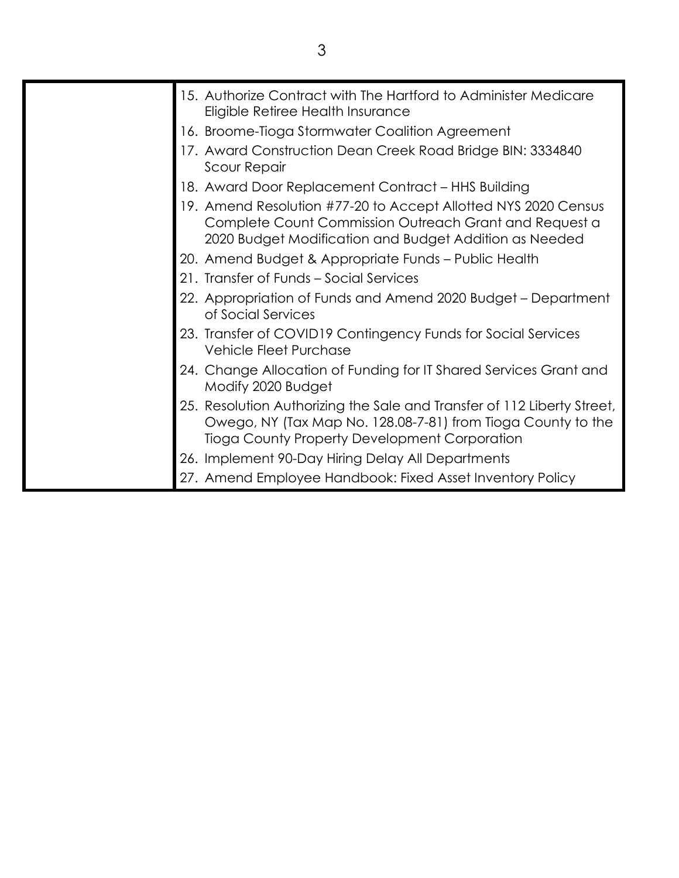| 15. Authorize Contract with The Hartford to Administer Medicare<br>Eligible Retiree Health Insurance                                                                                     |
|------------------------------------------------------------------------------------------------------------------------------------------------------------------------------------------|
| 16. Broome-Tioga Stormwater Coalition Agreement                                                                                                                                          |
| 17. Award Construction Dean Creek Road Bridge BIN: 3334840<br><b>Scour Repair</b>                                                                                                        |
| 18. Award Door Replacement Contract – HHS Building                                                                                                                                       |
| 19. Amend Resolution #77-20 to Accept Allotted NYS 2020 Census<br>Complete Count Commission Outreach Grant and Request a<br>2020 Budget Modification and Budget Addition as Needed       |
| 20. Amend Budget & Appropriate Funds - Public Health                                                                                                                                     |
| 21. Transfer of Funds - Social Services                                                                                                                                                  |
| 22. Appropriation of Funds and Amend 2020 Budget – Department<br>of Social Services                                                                                                      |
| 23. Transfer of COVID19 Contingency Funds for Social Services<br><b>Vehicle Fleet Purchase</b>                                                                                           |
| 24. Change Allocation of Funding for IT Shared Services Grant and<br>Modify 2020 Budget                                                                                                  |
| 25. Resolution Authorizing the Sale and Transfer of 112 Liberty Street,<br>Owego, NY (Tax Map No. 128.08-7-81) from Tioga County to the<br>Tioga County Property Development Corporation |
| 26. Implement 90-Day Hiring Delay All Departments                                                                                                                                        |
| 27. Amend Employee Handbook: Fixed Asset Inventory Policy                                                                                                                                |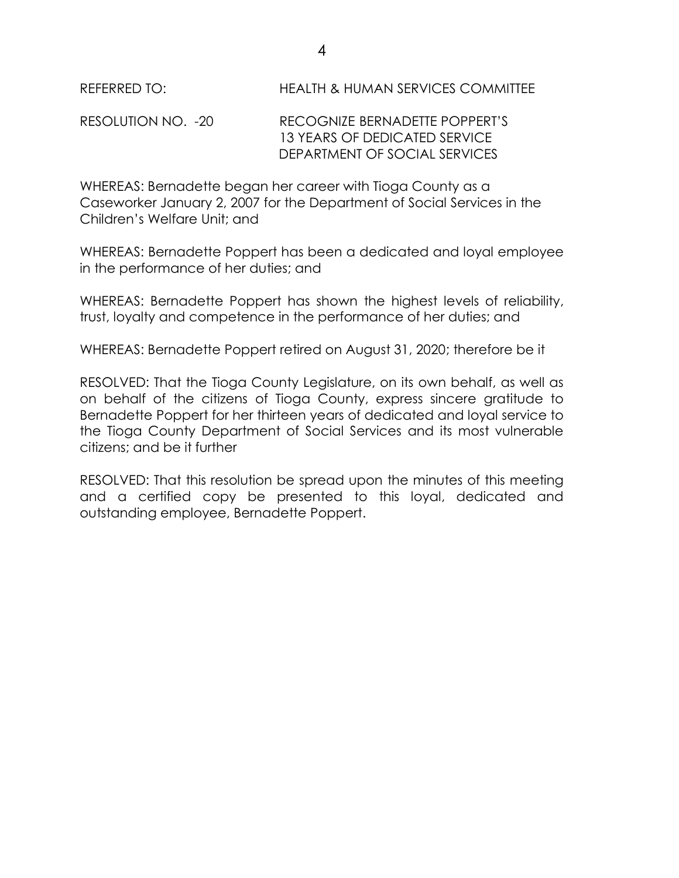RESOLUTION NO. -20 RECOGNIZE BERNADETTE POPPERT'S 13 YEARS OF DEDICATED SERVICE DEPARTMENT OF SOCIAL SERVICES

WHEREAS: Bernadette began her career with Tioga County as a Caseworker January 2, 2007 for the Department of Social Services in the Children's Welfare Unit; and

WHEREAS: Bernadette Poppert has been a dedicated and loyal employee in the performance of her duties; and

WHEREAS: Bernadette Poppert has shown the highest levels of reliability, trust, loyalty and competence in the performance of her duties; and

WHEREAS: Bernadette Poppert retired on August 31, 2020; therefore be it

RESOLVED: That the Tioga County Legislature, on its own behalf, as well as on behalf of the citizens of Tioga County, express sincere gratitude to Bernadette Poppert for her thirteen years of dedicated and loyal service to the Tioga County Department of Social Services and its most vulnerable citizens; and be it further

RESOLVED: That this resolution be spread upon the minutes of this meeting and a certified copy be presented to this loyal, dedicated and outstanding employee, Bernadette Poppert.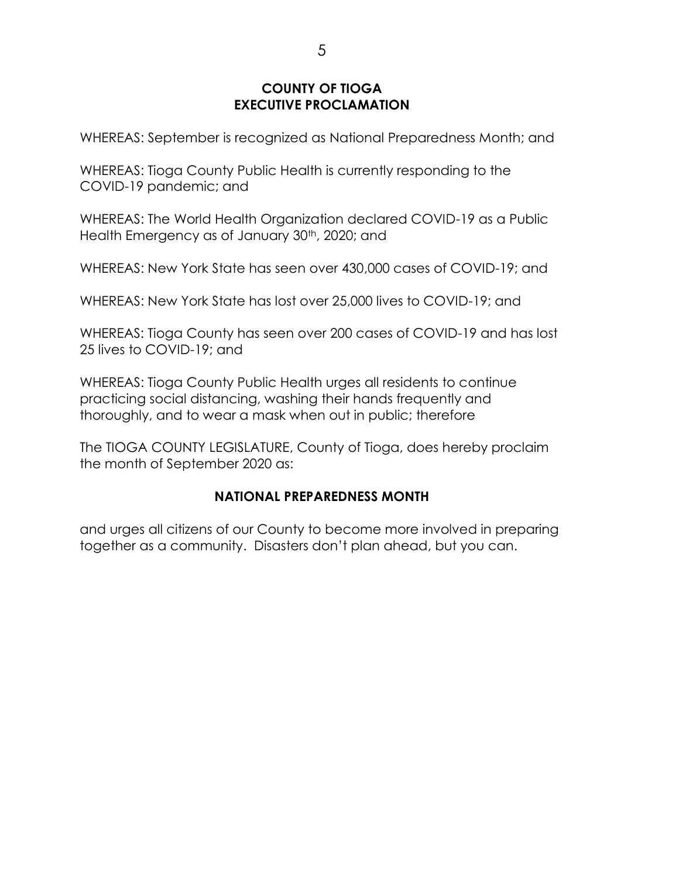### **COUNTY OF TIOGA EXECUTIVE PROCLAMATION**

WHEREAS: September is recognized as National Preparedness Month; and

WHEREAS: Tioga County Public Health is currently responding to the COVID-19 pandemic; and

WHEREAS: The World Health Organization declared COVID-19 as a Public Health Emergency as of January 30<sup>th</sup>, 2020; and

WHEREAS: New York State has seen over 430,000 cases of COVID-19; and

WHEREAS: New York State has lost over 25,000 lives to COVID-19; and

WHEREAS: Tioga County has seen over 200 cases of COVID-19 and has lost 25 lives to COVID-19; and

WHEREAS: Tioga County Public Health urges all residents to continue practicing social distancing, washing their hands frequently and thoroughly, and to wear a mask when out in public; therefore

The TIOGA COUNTY LEGISLATURE, County of Tioga, does hereby proclaim the month of September 2020 as:

## **NATIONAL PREPAREDNESS MONTH**

and urges all citizens of our County to become more involved in preparing together as a community. Disasters don't plan ahead, but you can.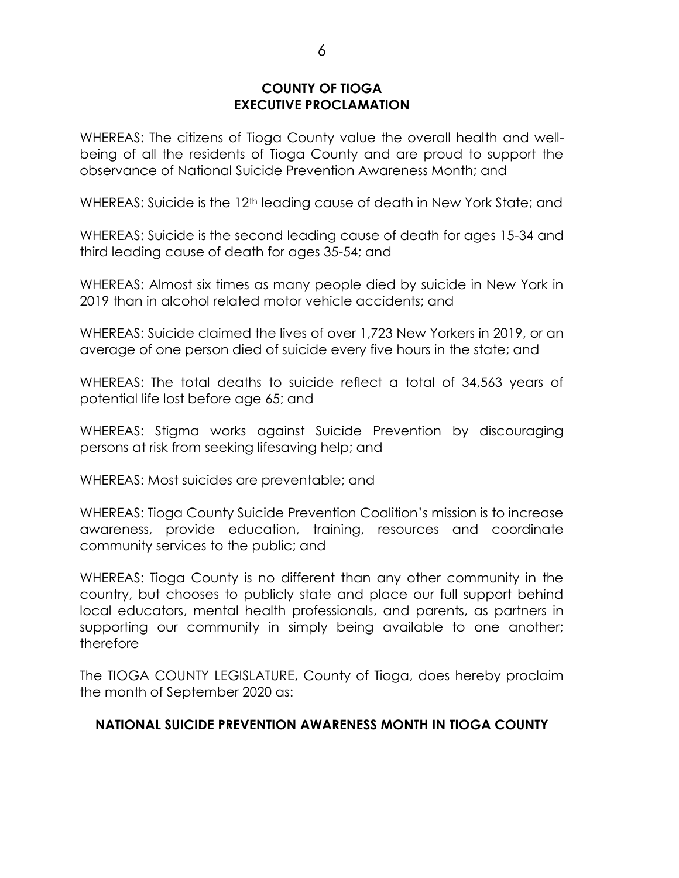#### **COUNTY OF TIOGA EXECUTIVE PROCLAMATION**

WHEREAS: The citizens of Tioga County value the overall health and wellbeing of all the residents of Tioga County and are proud to support the observance of National Suicide Prevention Awareness Month; and

WHEREAS: Suicide is the 12<sup>th</sup> leading cause of death in New York State; and

WHEREAS: Suicide is the second leading cause of death for ages 15-34 and third leading cause of death for ages 35-54; and

WHEREAS: Almost six times as many people died by suicide in New York in 2019 than in alcohol related motor vehicle accidents; and

WHEREAS: Suicide claimed the lives of over 1,723 New Yorkers in 2019, or an average of one person died of suicide every five hours in the state; and

WHEREAS: The total deaths to suicide reflect a total of 34,563 years of potential life lost before age 65; and

WHEREAS: Stigma works against Suicide Prevention by discouraging persons at risk from seeking lifesaving help; and

WHEREAS: Most suicides are preventable; and

WHEREAS: Tioga County Suicide Prevention Coalition's mission is to increase awareness, provide education, training, resources and coordinate community services to the public; and

WHEREAS: Tioga County is no different than any other community in the country, but chooses to publicly state and place our full support behind local educators, mental health professionals, and parents, as partners in supporting our community in simply being available to one another; therefore

The TIOGA COUNTY LEGISLATURE, County of Tioga, does hereby proclaim the month of September 2020 as:

### **NATIONAL SUICIDE PREVENTION AWARENESS MONTH IN TIOGA COUNTY**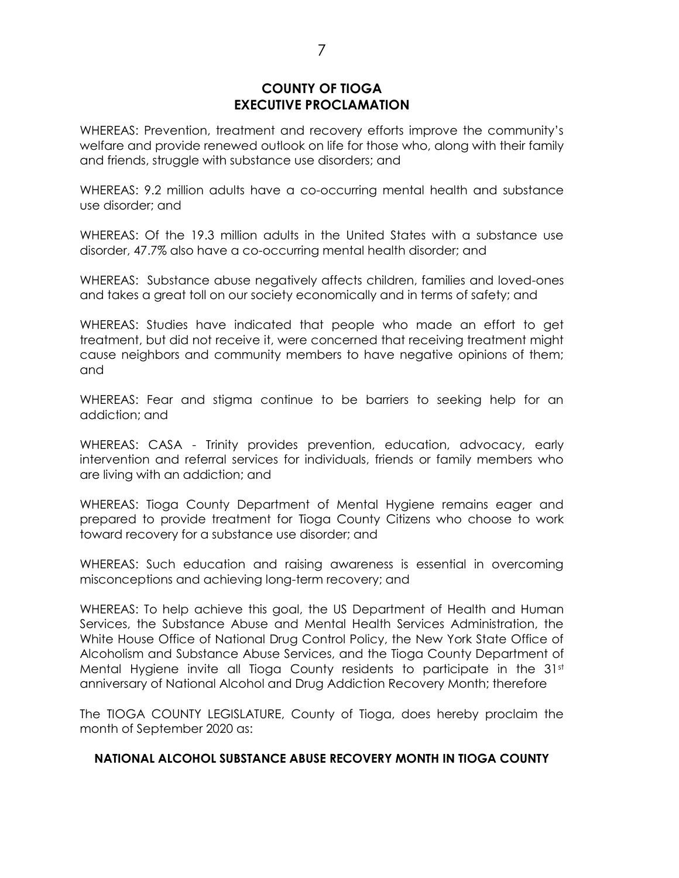#### **COUNTY OF TIOGA EXECUTIVE PROCLAMATION**

WHEREAS: Prevention, treatment and recovery efforts improve the community's welfare and provide renewed outlook on life for those who, along with their family and friends, struggle with substance use disorders; and

WHEREAS: 9.2 million adults have a co-occurring mental health and substance use disorder; and

WHEREAS: Of the 19.3 million adults in the United States with a substance use disorder, 47.7% also have a co-occurring mental health disorder; and

WHEREAS: Substance abuse negatively affects children, families and loved-ones and takes a great toll on our society economically and in terms of safety; and

WHEREAS: Studies have indicated that people who made an effort to get treatment, but did not receive it, were concerned that receiving treatment might cause neighbors and community members to have negative opinions of them; and

WHEREAS: Fear and stigma continue to be barriers to seeking help for an addiction; and

WHEREAS: CASA - Trinity provides prevention, education, advocacy, early intervention and referral services for individuals, friends or family members who are living with an addiction; and

WHEREAS: Tioga County Department of Mental Hygiene remains eager and prepared to provide treatment for Tioga County Citizens who choose to work toward recovery for a substance use disorder; and

WHEREAS: Such education and raising awareness is essential in overcoming misconceptions and achieving long-term recovery; and

WHEREAS: To help achieve this goal, the US Department of Health and Human Services, the Substance Abuse and Mental Health Services Administration, the White House Office of National Drug Control Policy, the New York State Office of Alcoholism and Substance Abuse Services, and the Tioga County Department of Mental Hygiene invite all Tioga County residents to participate in the  $31<sup>st</sup>$ anniversary of National Alcohol and Drug Addiction Recovery Month; therefore

The TIOGA COUNTY LEGISLATURE, County of Tioga, does hereby proclaim the month of September 2020 as:

#### **NATIONAL ALCOHOL SUBSTANCE ABUSE RECOVERY MONTH IN TIOGA COUNTY**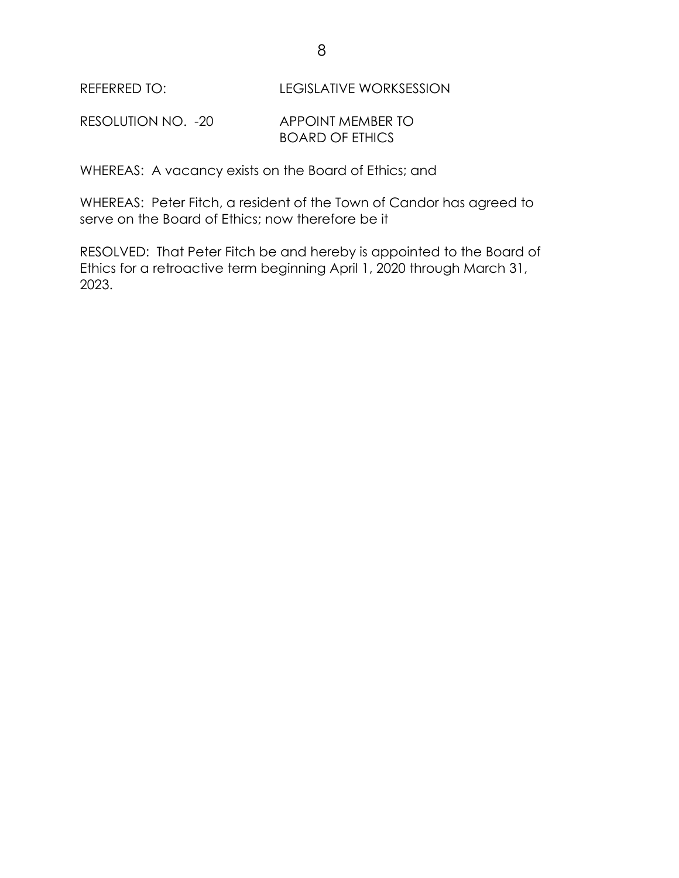REFERRED TO: LEGISLATIVE WORKSESSION

RESOLUTION NO. - 20 APPOINT MEMBER TO BOARD OF ETHICS

WHEREAS: A vacancy exists on the Board of Ethics; and

WHEREAS: Peter Fitch, a resident of the Town of Candor has agreed to serve on the Board of Ethics; now therefore be it

RESOLVED: That Peter Fitch be and hereby is appointed to the Board of Ethics for a retroactive term beginning April 1, 2020 through March 31, 2023.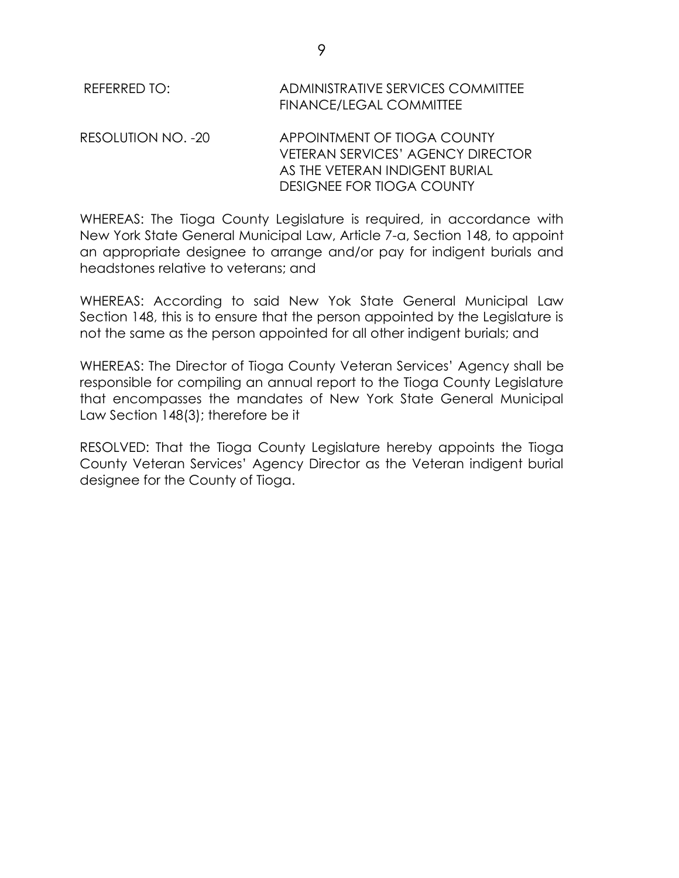| REFERRED TO:       | ADMINISTRATIVE SERVICES COMMITTEE<br>FINANCE/LEGAL COMMITTEE                                                                           |
|--------------------|----------------------------------------------------------------------------------------------------------------------------------------|
| RESOLUTION NO. -20 | APPOINTMENT OF TIOGA COUNTY<br><b>VETERAN SERVICES' AGENCY DIRECTOR</b><br>AS THE VETERAN INDIGENT BURIAL<br>DESIGNEE FOR TIOGA COUNTY |

WHEREAS: The Tioga County Legislature is required, in accordance with New York State General Municipal Law, Article 7-a, Section 148, to appoint an appropriate designee to arrange and/or pay for indigent burials and headstones relative to veterans; and

WHEREAS: According to said New Yok State General Municipal Law Section 148, this is to ensure that the person appointed by the Legislature is not the same as the person appointed for all other indigent burials; and

WHEREAS: The Director of Tioga County Veteran Services' Agency shall be responsible for compiling an annual report to the Tioga County Legislature that encompasses the mandates of New York State General Municipal Law Section 148(3); therefore be it

RESOLVED: That the Tioga County Legislature hereby appoints the Tioga County Veteran Services' Agency Director as the Veteran indigent burial designee for the County of Tioga.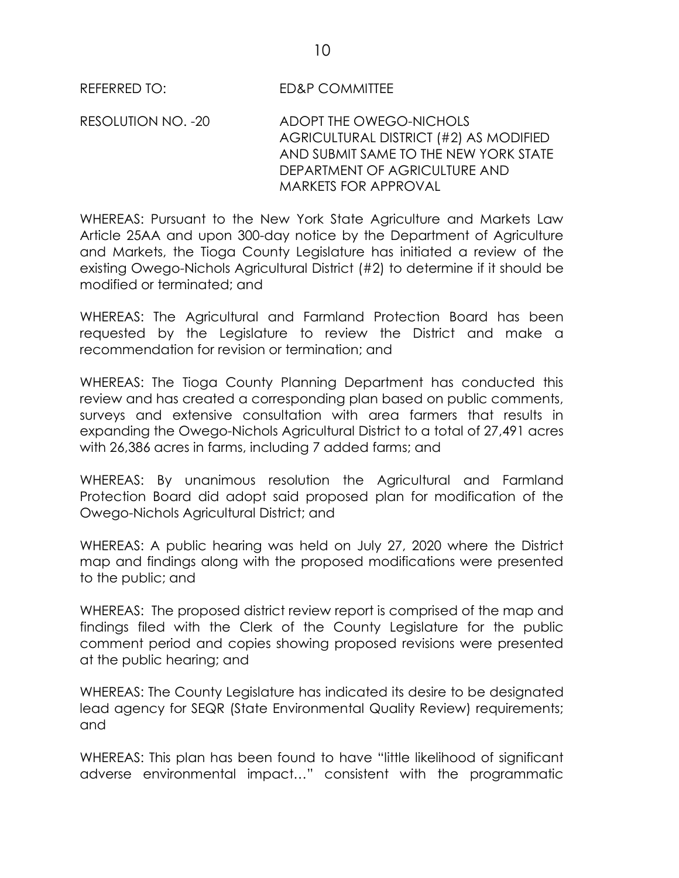REFERRED TO: ED&P COMMITTEE

RESOLUTION NO. -20 ADOPT THE OWEGO-NICHOLS AGRICULTURAL DISTRICT (#2) AS MODIFIED AND SUBMIT SAME TO THE NEW YORK STATE DEPARTMENT OF AGRICULTURE AND MARKETS FOR APPROVAL

WHEREAS: Pursuant to the New York State Agriculture and Markets Law Article 25AA and upon 300-day notice by the Department of Agriculture and Markets, the Tioga County Legislature has initiated a review of the existing Owego-Nichols Agricultural District (#2) to determine if it should be modified or terminated; and

WHEREAS: The Agricultural and Farmland Protection Board has been requested by the Legislature to review the District and make a recommendation for revision or termination; and

WHEREAS: The Tioga County Planning Department has conducted this review and has created a corresponding plan based on public comments, surveys and extensive consultation with area farmers that results in expanding the Owego-Nichols Agricultural District to a total of 27,491 acres with 26,386 acres in farms, including 7 added farms; and

WHEREAS: By unanimous resolution the Agricultural and Farmland Protection Board did adopt said proposed plan for modification of the Owego-Nichols Agricultural District; and

WHEREAS: A public hearing was held on July 27, 2020 where the District map and findings along with the proposed modifications were presented to the public; and

WHEREAS: The proposed district review report is comprised of the map and findings filed with the Clerk of the County Legislature for the public comment period and copies showing proposed revisions were presented at the public hearing; and

WHEREAS: The County Legislature has indicated its desire to be designated lead agency for SEQR (State Environmental Quality Review) requirements; and

WHEREAS: This plan has been found to have "little likelihood of significant" adverse environmental impact…" consistent with the programmatic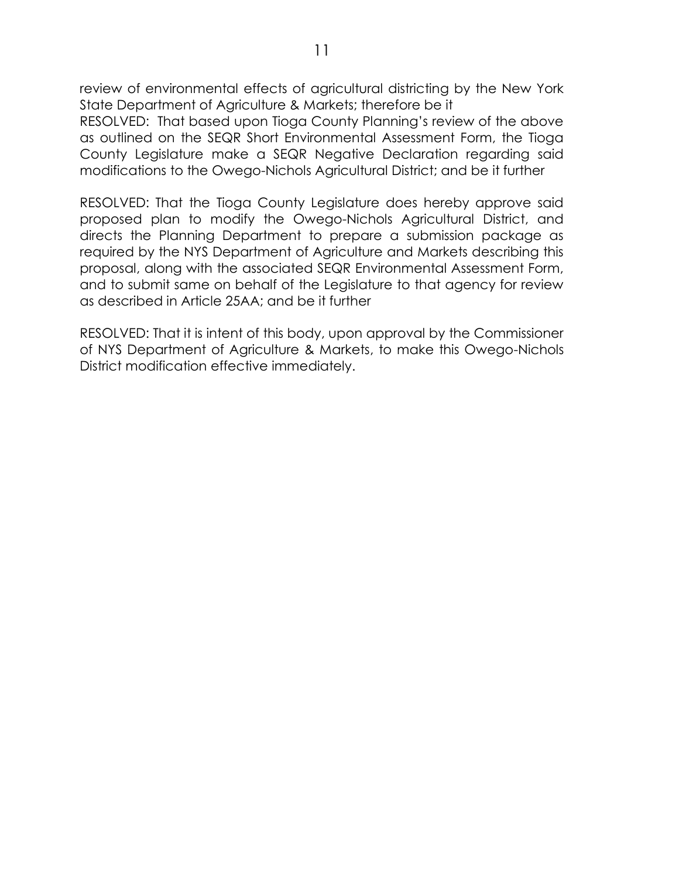review of environmental effects of agricultural districting by the New York State Department of Agriculture & Markets; therefore be it

RESOLVED: That based upon Tioga County Planning's review of the above as outlined on the SEQR Short Environmental Assessment Form, the Tioga County Legislature make a SEQR Negative Declaration regarding said modifications to the Owego-Nichols Agricultural District; and be it further

RESOLVED: That the Tioga County Legislature does hereby approve said proposed plan to modify the Owego-Nichols Agricultural District, and directs the Planning Department to prepare a submission package as required by the NYS Department of Agriculture and Markets describing this proposal, along with the associated SEQR Environmental Assessment Form, and to submit same on behalf of the Legislature to that agency for review as described in Article 25AA; and be it further

RESOLVED: That it is intent of this body, upon approval by the Commissioner of NYS Department of Agriculture & Markets, to make this Owego-Nichols District modification effective immediately.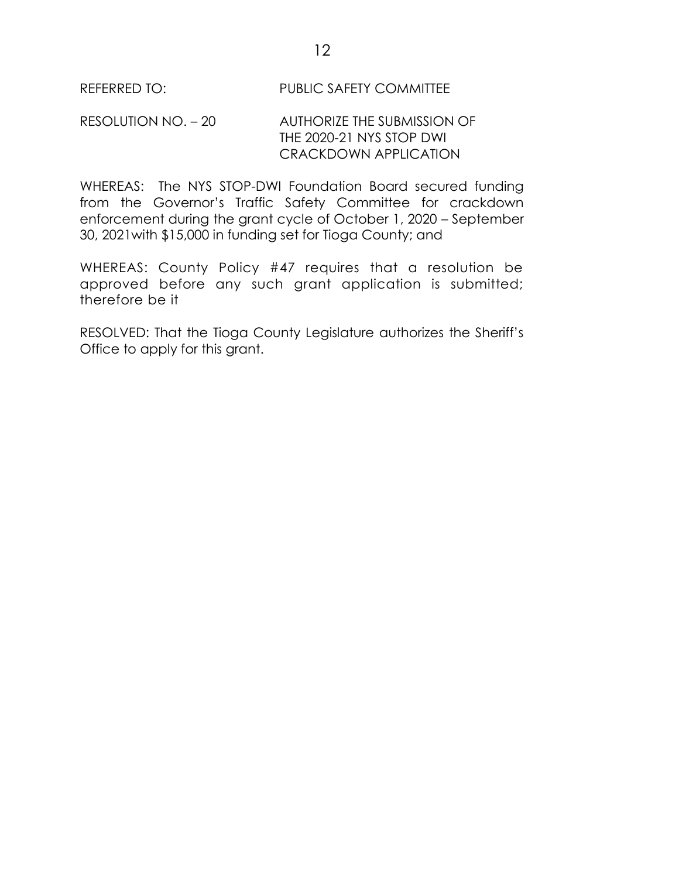#### REFERRED TO: PUBLIC SAFETY COMMITTEE

#### RESOLUTION NO. – 20 AUTHORIZE THE SUBMISSION OF THE 2020-21 NYS STOP DWI CRACKDOWN APPLICATION

WHEREAS: The NYS STOP-DWI Foundation Board secured funding from the Governor's Traffic Safety Committee for crackdown enforcement during the grant cycle of October 1, 2020 – September 30, 2021with \$15,000 in funding set for Tioga County; and

WHEREAS: County Policy #47 requires that a resolution be approved before any such grant application is submitted; therefore be it

RESOLVED: That the Tioga County Legislature authorizes the Sheriff's Office to apply for this grant.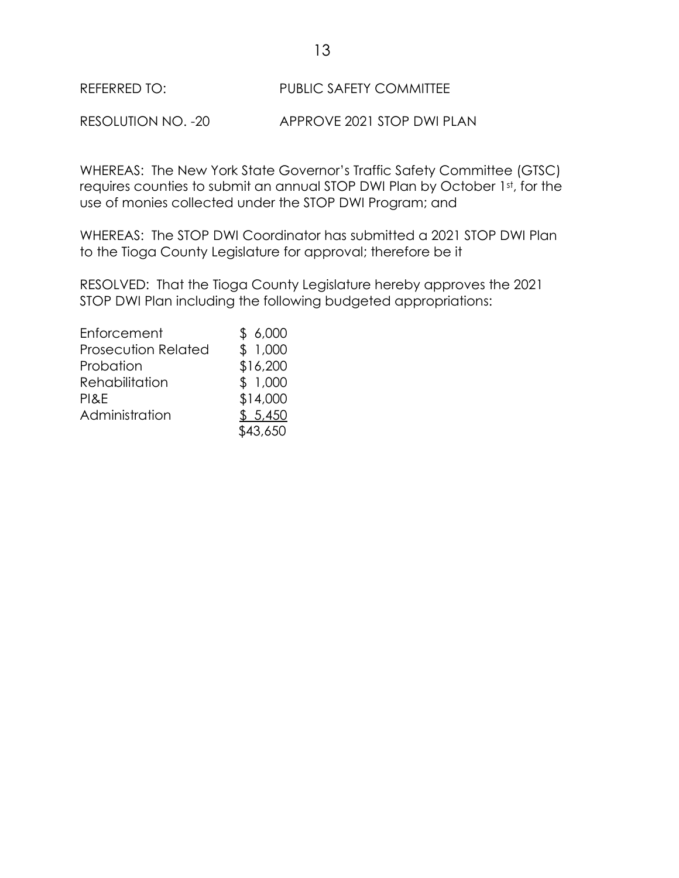RESOLUTION NO. -20 APPROVE 2021 STOP DWI PLAN

WHEREAS: The New York State Governor's Traffic Safety Committee (GTSC) requires counties to submit an annual STOP DWI Plan by October 1st, for the use of monies collected under the STOP DWI Program; and

WHEREAS: The STOP DWI Coordinator has submitted a 2021 STOP DWI Plan to the Tioga County Legislature for approval; therefore be it

RESOLVED: That the Tioga County Legislature hereby approves the 2021 STOP DWI Plan including the following budgeted appropriations:

| Enforcement                | \$6,000  |
|----------------------------|----------|
| <b>Prosecution Related</b> | \$1,000  |
| Probation                  | \$16,200 |
| Rehabilitation             | \$1,000  |
| PI&E                       | \$14,000 |
| Administration             | \$5,450  |
|                            | \$43,650 |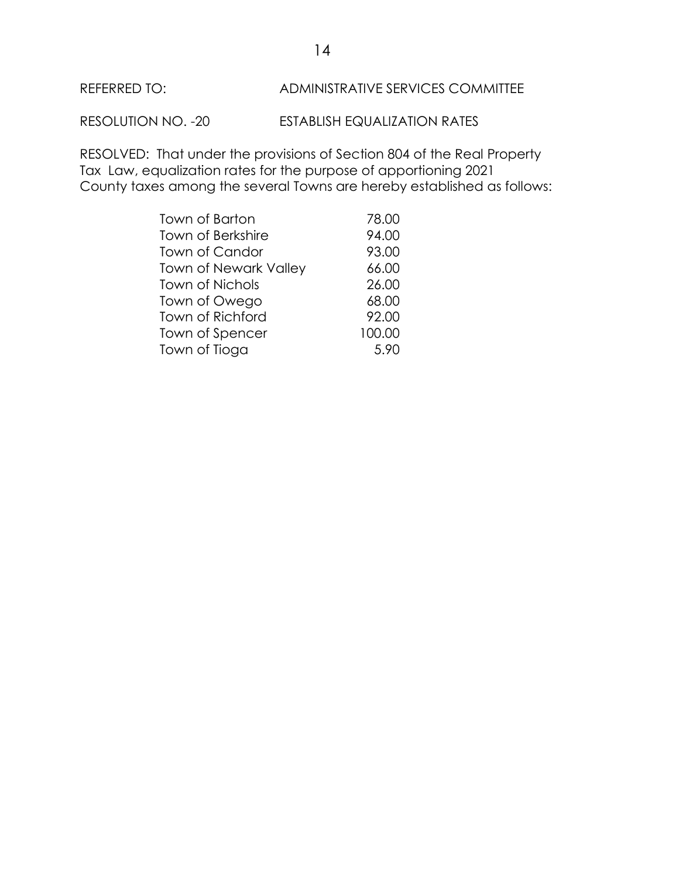

RESOLUTION NO. -20 ESTABLISH EQUALIZATION RATES

RESOLVED: That under the provisions of Section 804 of the Real Property Tax Law, equalization rates for the purpose of apportioning 2021 County taxes among the several Towns are hereby established as follows:

| Town of Barton               | 78.00  |
|------------------------------|--------|
| <b>Town of Berkshire</b>     | 94.00  |
| <b>Town of Candor</b>        | 93.00  |
| <b>Town of Newark Valley</b> | 66.00  |
| <b>Town of Nichols</b>       | 26.00  |
| Town of Owego                | 68.00  |
| <b>Town of Richford</b>      | 92.00  |
| Town of Spencer              | 100.00 |
| Town of Tioga                | 5.90   |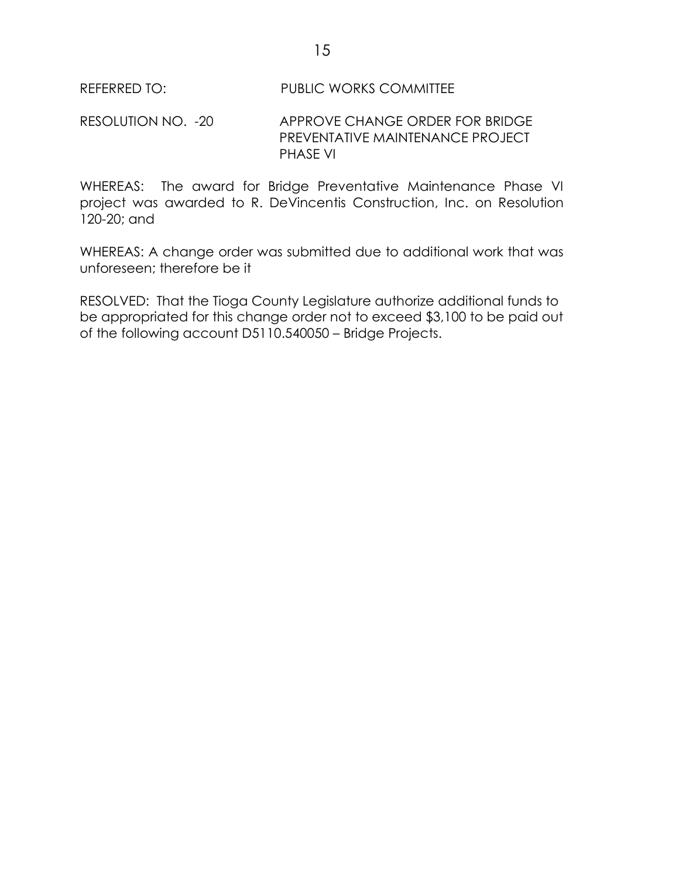RESOLUTION NO. -20 APPROVE CHANGE ORDER FOR BRIDGE PREVENTATIVE MAINTENANCE PROJECT PHASE VI

WHEREAS: The award for Bridge Preventative Maintenance Phase VI project was awarded to R. DeVincentis Construction, Inc. on Resolution 120-20; and

WHEREAS: A change order was submitted due to additional work that was unforeseen; therefore be it

RESOLVED: That the Tioga County Legislature authorize additional funds to be appropriated for this change order not to exceed \$3,100 to be paid out of the following account D5110.540050 – Bridge Projects.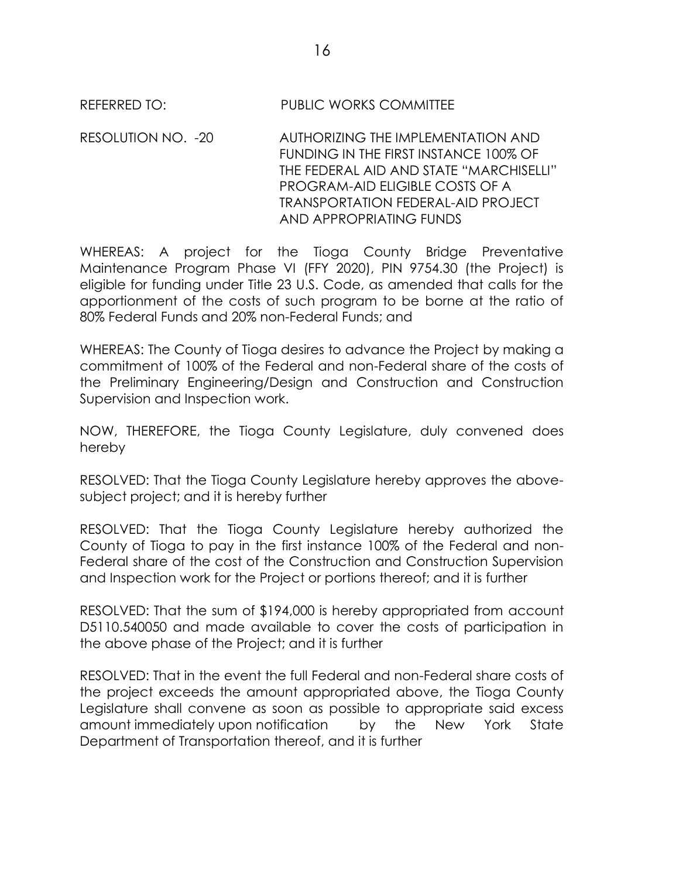REFERRED TO: PUBLIC WORKS COMMITTEE

RESOLUTION NO. -20 AUTHORIZING THE IMPLEMENTATION AND FUNDING IN THE FIRST INSTANCE 100% OF THE FEDERAL AID AND STATE "MARCHISELLI" PROGRAM-AID ELIGIBLE COSTS OF A TRANSPORTATION FEDERAL-AID PROJECT AND APPROPRIATING FUNDS

WHEREAS: A project for the Tioga County Bridge Preventative Maintenance Program Phase VI (FFY 2020), PIN 9754.30 (the Project) is eligible for funding under Title 23 U.S. Code, as amended that calls for the apportionment of the costs of such program to be borne at the ratio of 80% Federal Funds and 20% non-Federal Funds; and

WHEREAS: The County of Tioga desires to advance the Project by making a commitment of 100% of the Federal and non-Federal share of the costs of the Preliminary Engineering/Design and Construction and Construction Supervision and Inspection work.

NOW, THEREFORE, the Tioga County Legislature, duly convened does hereby

RESOLVED: That the Tioga County Legislature hereby approves the abovesubject project; and it is hereby further

RESOLVED: That the Tioga County Legislature hereby authorized the County of Tioga to pay in the first instance 100% of the Federal and non-Federal share of the cost of the Construction and Construction Supervision and Inspection work for the Project or portions thereof; and it is further

RESOLVED: That the sum of \$194,000 is hereby appropriated from account D5110.540050 and made available to cover the costs of participation in the above phase of the Project; and it is further

RESOLVED: That in the event the full Federal and non-Federal share costs of the project exceeds the amount appropriated above, the Tioga County Legislature shall convene as soon as possible to appropriate said excess amount immediately upon notification by the New York State Department of Transportation thereof, and it is further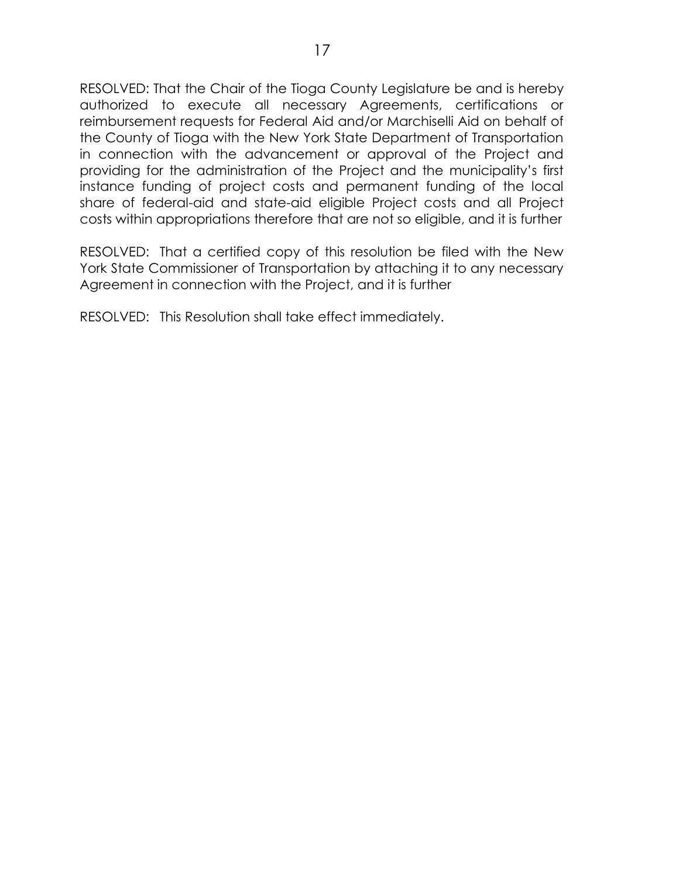RESOLVED: That the Chair of the Tioga County Legislature be and is hereby authorized to execute all necessary Agreements, certifications or reimbursement requests for Federal Aid and/or Marchiselli Aid on behalf of the County of Tioga with the New York State Department of Transportation in connection with the advancement or approval of the Project and providing for the administration of the Project and the municipality's first instance funding of project costs and permanent funding of the local share of federal-aid and state-aid eligible Project costs and all Project costs within appropriations therefore that are not so eligible, and it is further

RESOLVED: That a certified copy of this resolution be filed with the New York State Commissioner of Transportation by attaching it to any necessary Agreement in connection with the Project, and it is further

RESOLVED: This Resolution shall take effect immediately.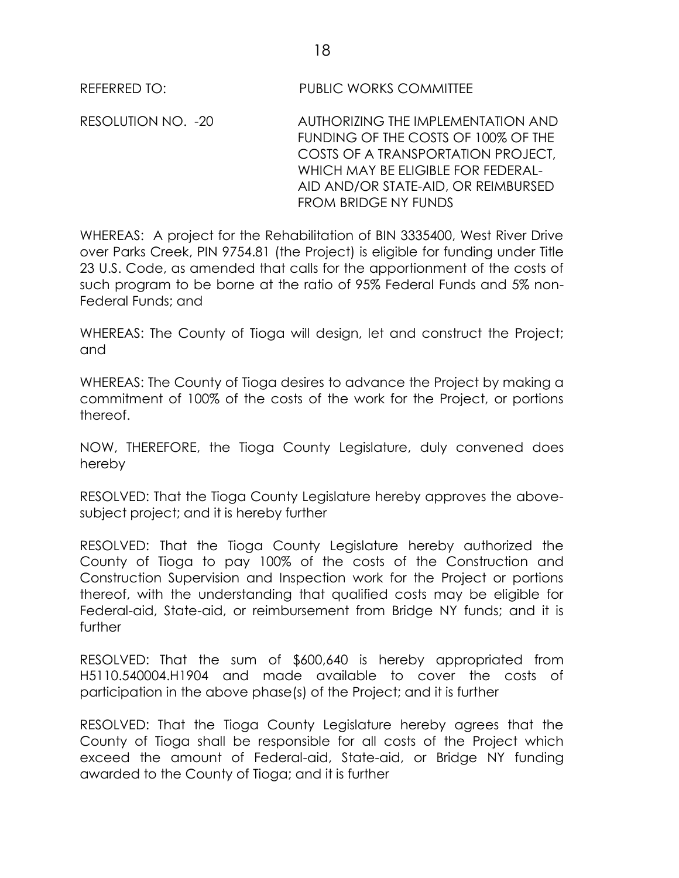REFERRED TO: PUBLIC WORKS COMMITTEE

RESOLUTION NO. -20 AUTHORIZING THE IMPLEMENTATION AND FUNDING OF THE COSTS OF 100% OF THE COSTS OF A TRANSPORTATION PROJECT, WHICH MAY BE ELIGIBLE FOR FEDERAL-AID AND/OR STATE-AID, OR REIMBURSED FROM BRIDGE NY FUNDS

WHEREAS: A project for the Rehabilitation of BIN 3335400, West River Drive over Parks Creek, PIN 9754.81 (the Project) is eligible for funding under Title 23 U.S. Code, as amended that calls for the apportionment of the costs of such program to be borne at the ratio of 95% Federal Funds and 5% non-Federal Funds; and

WHEREAS: The County of Tioga will design, let and construct the Project; and

WHEREAS: The County of Tioga desires to advance the Project by making a commitment of 100% of the costs of the work for the Project, or portions thereof.

NOW, THEREFORE, the Tioga County Legislature, duly convened does hereby

RESOLVED: That the Tioga County Legislature hereby approves the abovesubject project; and it is hereby further

RESOLVED: That the Tioga County Legislature hereby authorized the County of Tioga to pay 100% of the costs of the Construction and Construction Supervision and Inspection work for the Project or portions thereof, with the understanding that qualified costs may be eligible for Federal-aid, State-aid, or reimbursement from Bridge NY funds; and it is further

RESOLVED: That the sum of \$600,640 is hereby appropriated from H5110.540004.H1904 and made available to cover the costs of participation in the above phase(s) of the Project; and it is further

RESOLVED: That the Tioga County Legislature hereby agrees that the County of Tioga shall be responsible for all costs of the Project which exceed the amount of Federal-aid, State-aid, or Bridge NY funding awarded to the County of Tioga; and it is further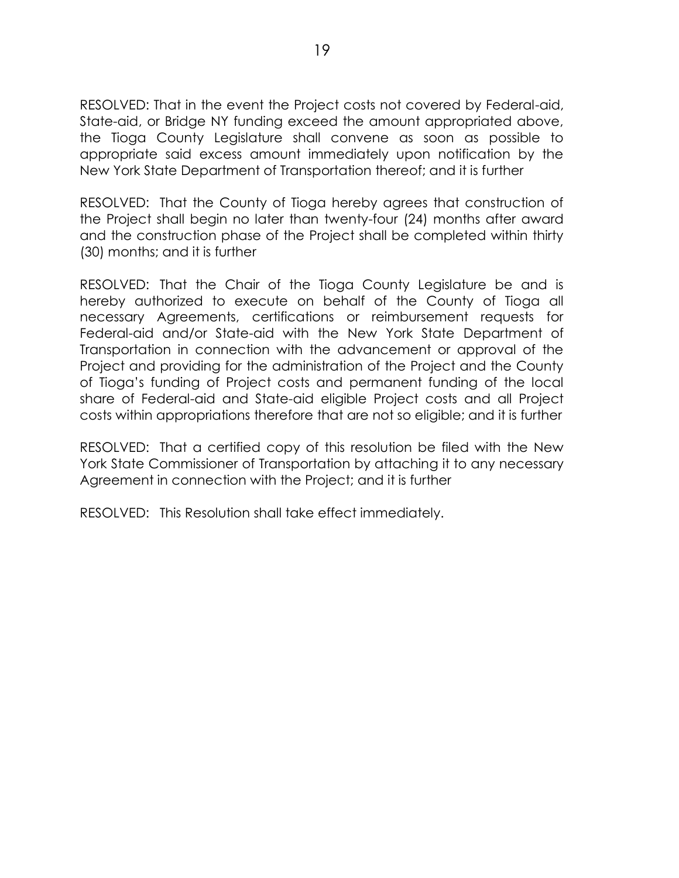RESOLVED: That in the event the Project costs not covered by Federal-aid, State-aid, or Bridge NY funding exceed the amount appropriated above, the Tioga County Legislature shall convene as soon as possible to appropriate said excess amount immediately upon notification by the New York State Department of Transportation thereof; and it is further

RESOLVED: That the County of Tioga hereby agrees that construction of the Project shall begin no later than twenty-four (24) months after award and the construction phase of the Project shall be completed within thirty (30) months; and it is further

RESOLVED: That the Chair of the Tioga County Legislature be and is hereby authorized to execute on behalf of the County of Tioga all necessary Agreements, certifications or reimbursement requests for Federal-aid and/or State-aid with the New York State Department of Transportation in connection with the advancement or approval of the Project and providing for the administration of the Project and the County of Tioga's funding of Project costs and permanent funding of the local share of Federal-aid and State-aid eligible Project costs and all Project costs within appropriations therefore that are not so eligible; and it is further

RESOLVED: That a certified copy of this resolution be filed with the New York State Commissioner of Transportation by attaching it to any necessary Agreement in connection with the Project; and it is further

RESOLVED: This Resolution shall take effect immediately.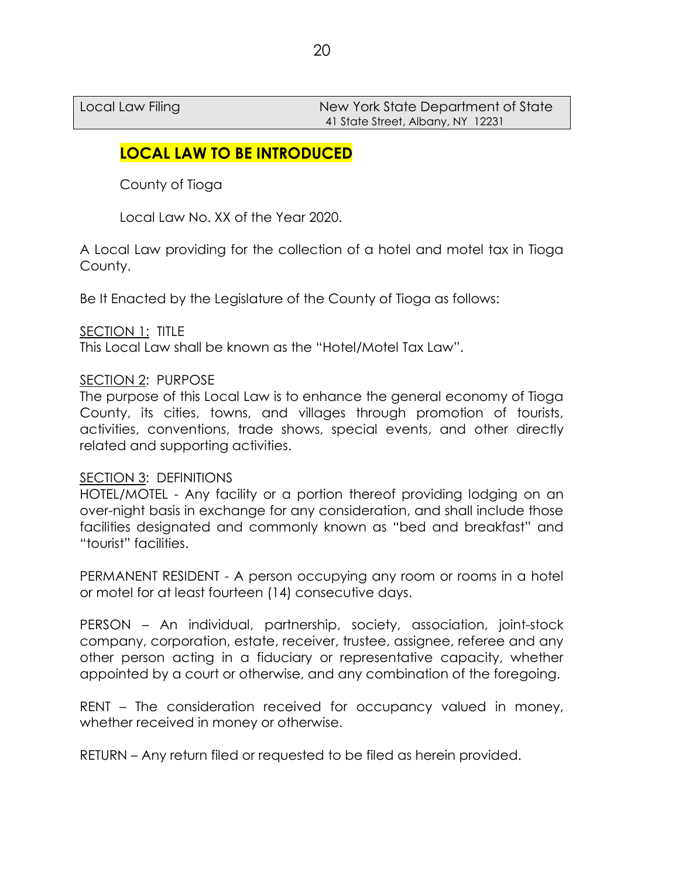Local Law Filing New York State Department of State 41 State Street, Albany, NY 12231

# **LOCAL LAW TO BE INTRODUCED**

County of Tioga

Local Law No. XX of the Year 2020.

A Local Law providing for the collection of a hotel and motel tax in Tioga County.

Be It Enacted by the Legislature of the County of Tioga as follows:

## SECTION 1: TITLE

This Local Law shall be known as the "Hotel/Motel Tax Law".

### SECTION 2: PURPOSE

The purpose of this Local Law is to enhance the general economy of Tioga County, its cities, towns, and villages through promotion of tourists, activities, conventions, trade shows, special events, and other directly related and supporting activities.

### SECTION 3: DEFINITIONS

HOTEL/MOTEL - Any facility or a portion thereof providing lodging on an over-night basis in exchange for any consideration, and shall include those facilities designated and commonly known as "bed and breakfast" and "tourist" facilities.

PERMANENT RESIDENT - A person occupying any room or rooms in a hotel or motel for at least fourteen (14) consecutive days.

PERSON – An individual, partnership, society, association, joint-stock company, corporation, estate, receiver, trustee, assignee, referee and any other person acting in a fiduciary or representative capacity, whether appointed by a court or otherwise, and any combination of the foregoing.

RENT – The consideration received for occupancy valued in money, whether received in money or otherwise.

RETURN – Any return filed or requested to be filed as herein provided.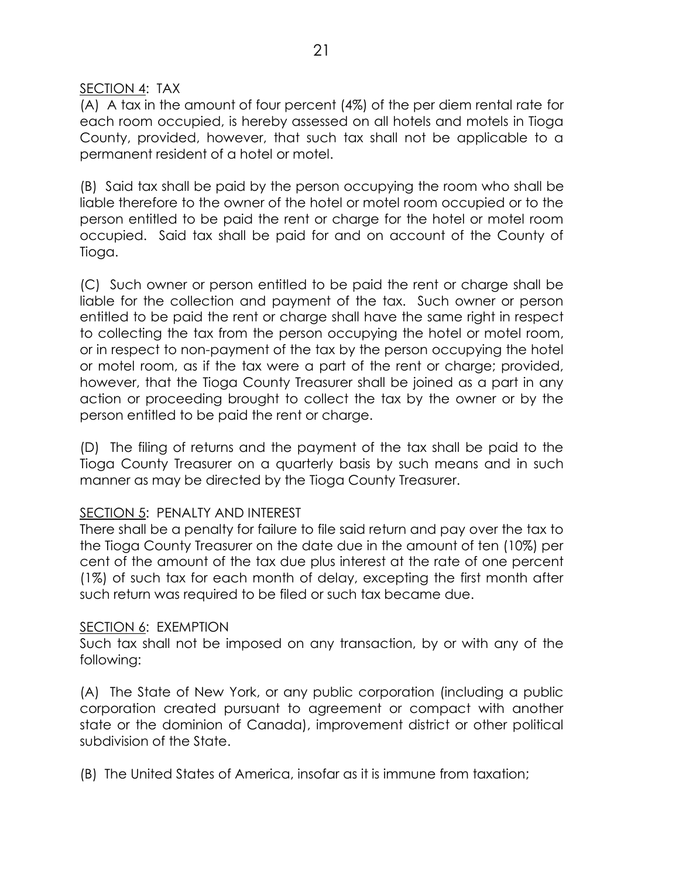### SECTION 4: TAX

(A) A tax in the amount of four percent (4%) of the per diem rental rate for each room occupied, is hereby assessed on all hotels and motels in Tioga County, provided, however, that such tax shall not be applicable to a permanent resident of a hotel or motel.

(B) Said tax shall be paid by the person occupying the room who shall be liable therefore to the owner of the hotel or motel room occupied or to the person entitled to be paid the rent or charge for the hotel or motel room occupied. Said tax shall be paid for and on account of the County of Tioga.

(C) Such owner or person entitled to be paid the rent or charge shall be liable for the collection and payment of the tax. Such owner or person entitled to be paid the rent or charge shall have the same right in respect to collecting the tax from the person occupying the hotel or motel room, or in respect to non-payment of the tax by the person occupying the hotel or motel room, as if the tax were a part of the rent or charge; provided, however, that the Tioga County Treasurer shall be joined as a part in any action or proceeding brought to collect the tax by the owner or by the person entitled to be paid the rent or charge.

(D) The filing of returns and the payment of the tax shall be paid to the Tioga County Treasurer on a quarterly basis by such means and in such manner as may be directed by the Tioga County Treasurer.

### SECTION 5: PENALTY AND INTEREST

There shall be a penalty for failure to file said return and pay over the tax to the Tioga County Treasurer on the date due in the amount of ten (10%) per cent of the amount of the tax due plus interest at the rate of one percent (1%) of such tax for each month of delay, excepting the first month after such return was required to be filed or such tax became due.

### SECTION 6: EXEMPTION

Such tax shall not be imposed on any transaction, by or with any of the following:

(A) The State of New York, or any public corporation (including a public corporation created pursuant to agreement or compact with another state or the dominion of Canada), improvement district or other political subdivision of the State.

(B) The United States of America, insofar as it is immune from taxation;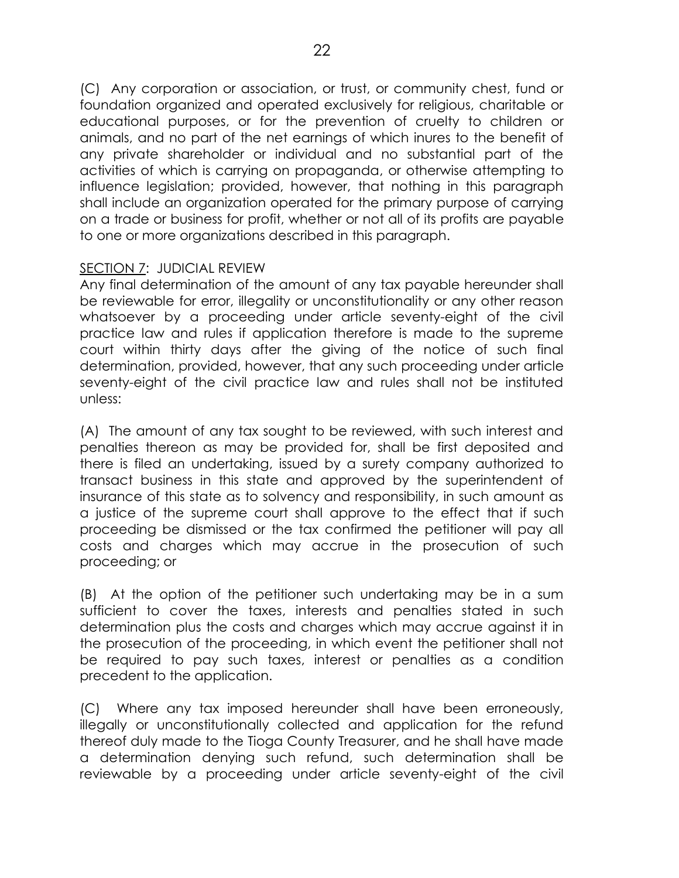(C) Any corporation or association, or trust, or community chest, fund or foundation organized and operated exclusively for religious, charitable or educational purposes, or for the prevention of cruelty to children or animals, and no part of the net earnings of which inures to the benefit of any private shareholder or individual and no substantial part of the activities of which is carrying on propaganda, or otherwise attempting to influence legislation; provided, however, that nothing in this paragraph shall include an organization operated for the primary purpose of carrying on a trade or business for profit, whether or not all of its profits are payable to one or more organizations described in this paragraph.

### SECTION 7: JUDICIAL REVIEW

Any final determination of the amount of any tax payable hereunder shall be reviewable for error, illegality or unconstitutionality or any other reason whatsoever by a proceeding under article seventy-eight of the civil practice law and rules if application therefore is made to the supreme court within thirty days after the giving of the notice of such final determination, provided, however, that any such proceeding under article seventy-eight of the civil practice law and rules shall not be instituted unless:

(A) The amount of any tax sought to be reviewed, with such interest and penalties thereon as may be provided for, shall be first deposited and there is filed an undertaking, issued by a surety company authorized to transact business in this state and approved by the superintendent of insurance of this state as to solvency and responsibility, in such amount as a justice of the supreme court shall approve to the effect that if such proceeding be dismissed or the tax confirmed the petitioner will pay all costs and charges which may accrue in the prosecution of such proceeding; or

(B) At the option of the petitioner such undertaking may be in a sum sufficient to cover the taxes, interests and penalties stated in such determination plus the costs and charges which may accrue against it in the prosecution of the proceeding, in which event the petitioner shall not be required to pay such taxes, interest or penalties as a condition precedent to the application.

(C) Where any tax imposed hereunder shall have been erroneously, illegally or unconstitutionally collected and application for the refund thereof duly made to the Tioga County Treasurer, and he shall have made a determination denying such refund, such determination shall be reviewable by a proceeding under article seventy-eight of the civil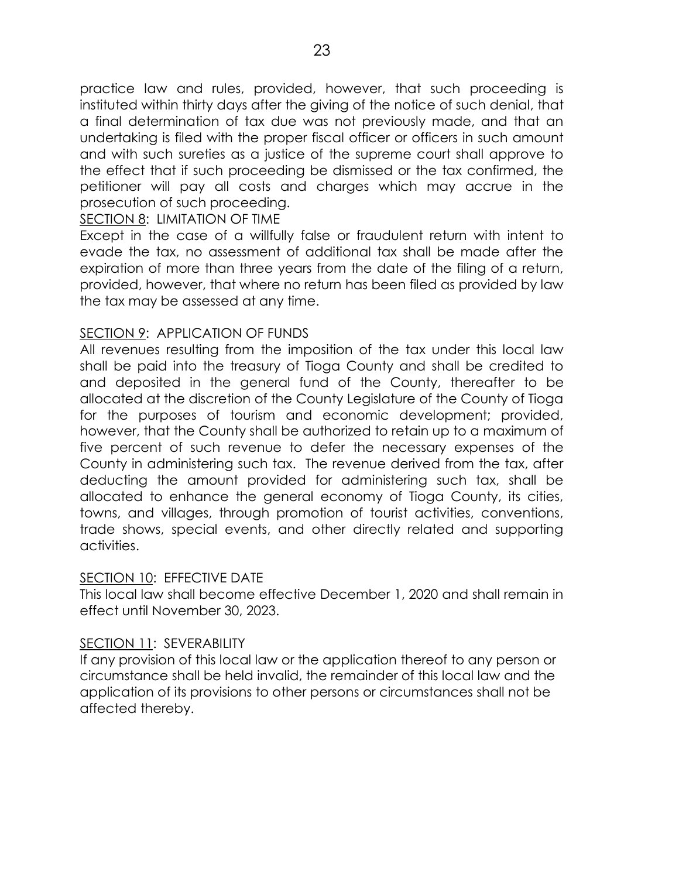practice law and rules, provided, however, that such proceeding is instituted within thirty days after the giving of the notice of such denial, that a final determination of tax due was not previously made, and that an undertaking is filed with the proper fiscal officer or officers in such amount and with such sureties as a justice of the supreme court shall approve to the effect that if such proceeding be dismissed or the tax confirmed, the petitioner will pay all costs and charges which may accrue in the prosecution of such proceeding.

### SECTION 8: LIMITATION OF TIME

Except in the case of a willfully false or fraudulent return with intent to evade the tax, no assessment of additional tax shall be made after the expiration of more than three years from the date of the filing of a return, provided, however, that where no return has been filed as provided by law the tax may be assessed at any time.

### SECTION 9: APPLICATION OF FUNDS

All revenues resulting from the imposition of the tax under this local law shall be paid into the treasury of Tioga County and shall be credited to and deposited in the general fund of the County, thereafter to be allocated at the discretion of the County Legislature of the County of Tioga for the purposes of tourism and economic development; provided, however, that the County shall be authorized to retain up to a maximum of five percent of such revenue to defer the necessary expenses of the County in administering such tax. The revenue derived from the tax, after deducting the amount provided for administering such tax, shall be allocated to enhance the general economy of Tioga County, its cities, towns, and villages, through promotion of tourist activities, conventions, trade shows, special events, and other directly related and supporting activities.

## SECTION 10: EFFECTIVE DATE

This local law shall become effective December 1, 2020 and shall remain in effect until November 30, 2023.

### SECTION 11: SEVERABILITY

If any provision of this local law or the application thereof to any person or circumstance shall be held invalid, the remainder of this local law and the application of its provisions to other persons or circumstances shall not be affected thereby.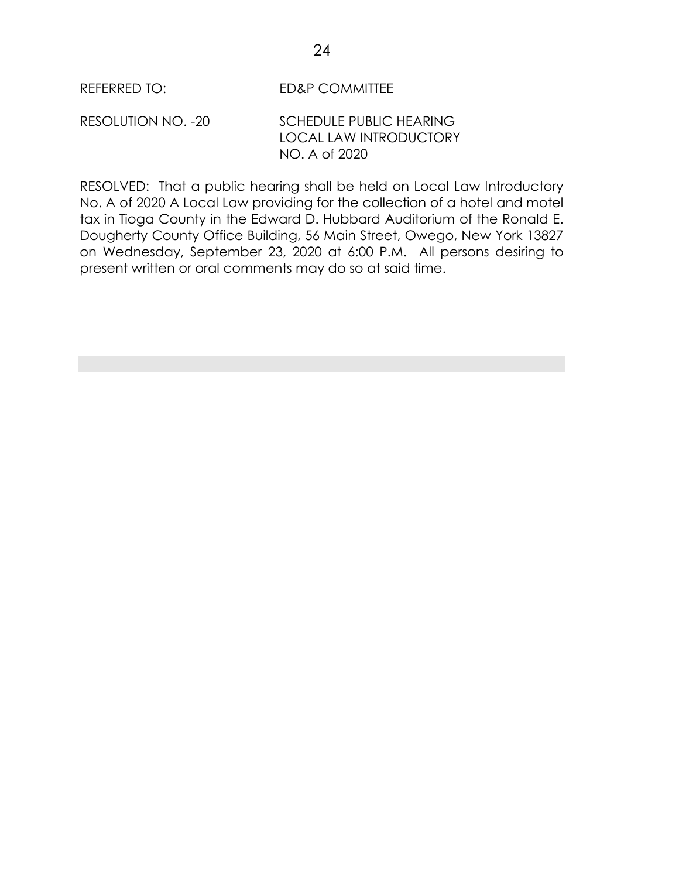REFERRED TO: ED&P COMMITTEE

RESOLUTION NO. -20 SCHEDULE PUBLIC HEARING LOCAL LAW INTRODUCTORY NO. A of 2020

RESOLVED: That a public hearing shall be held on Local Law Introductory No. A of 2020 A Local Law providing for the collection of a hotel and motel tax in Tioga County in the Edward D. Hubbard Auditorium of the Ronald E. Dougherty County Office Building, 56 Main Street, Owego, New York 13827 on Wednesday, September 23, 2020 at 6:00 P.M. All persons desiring to present written or oral comments may do so at said time.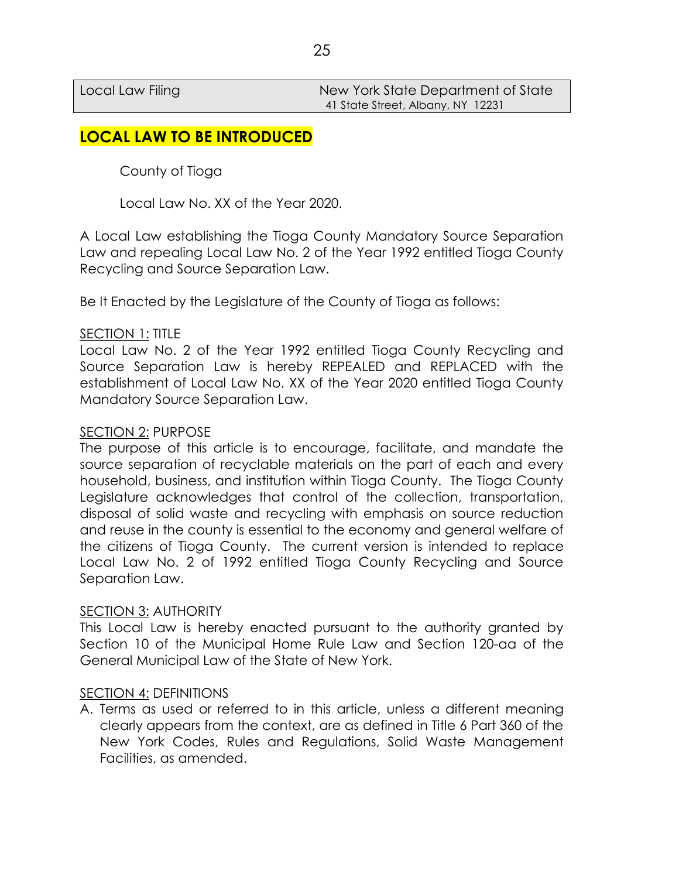Local Law Filing New York State Department of State 41 State Street, Albany, NY 12231

# **LOCAL LAW TO BE INTRODUCED**

County of Tioga

Local Law No. XX of the Year 2020.

A Local Law establishing the Tioga County Mandatory Source Separation Law and repealing Local Law No. 2 of the Year 1992 entitled Tioga County Recycling and Source Separation Law.

Be It Enacted by the Legislature of the County of Tioga as follows:

#### SECTION 1: TITLE

Local Law No. 2 of the Year 1992 entitled Tioga County Recycling and Source Separation Law is hereby REPEALED and REPLACED with the establishment of Local Law No. XX of the Year 2020 entitled Tioga County Mandatory Source Separation Law.

#### SECTION 2: PURPOSE

The purpose of this article is to encourage, facilitate, and mandate the source separation of recyclable materials on the part of each and every household, business, and institution within Tioga County. The Tioga County Legislature acknowledges that control of the collection, transportation, disposal of solid waste and recycling with emphasis on source reduction and reuse in the county is essential to the economy and general welfare of the citizens of Tioga County. The current version is intended to replace Local Law No. 2 of 1992 entitled Tioga County Recycling and Source Separation Law.

#### SECTION 3: AUTHORITY

This Local Law is hereby enacted pursuant to the authority granted by Section 10 of the Municipal Home Rule Law and Section 120-aa of the General Municipal Law of the State of New York.

#### SECTION 4: DEFINITIONS

A. Terms as used or referred to in this article, unless a different meaning clearly appears from the context, are as defined in Title 6 Part 360 of the New York Codes, Rules and Regulations, Solid Waste Management Facilities, as amended.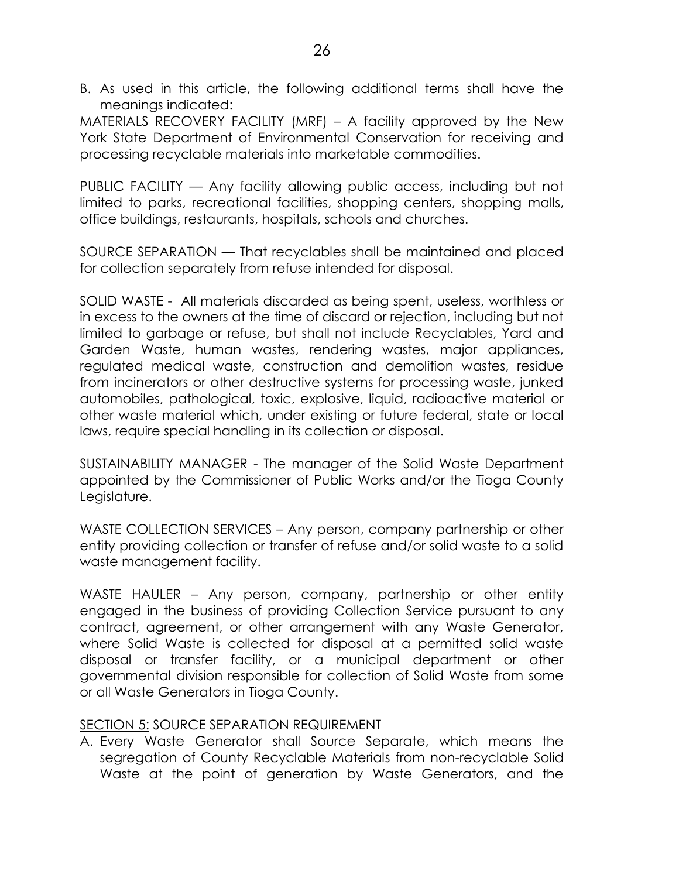B. As used in this article, the following additional terms shall have the meanings indicated:

MATERIALS RECOVERY FACILITY (MRF) – A facility approved by the New York State Department of Environmental Conservation for receiving and processing recyclable materials into marketable commodities.

PUBLIC FACILITY — Any facility allowing public access, including but not limited to parks, recreational facilities, shopping centers, shopping malls, office buildings, restaurants, hospitals, schools and churches.

SOURCE SEPARATION — That recyclables shall be maintained and placed for collection separately from refuse intended for disposal.

SOLID WASTE - All materials discarded as being spent, useless, worthless or in excess to the owners at the time of discard or rejection, including but not limited to garbage or refuse, but shall not include Recyclables, Yard and Garden Waste, human wastes, rendering wastes, major appliances, regulated medical waste, construction and demolition wastes, residue from incinerators or other destructive systems for processing waste, junked automobiles, pathological, toxic, explosive, liquid, radioactive material or other waste material which, under existing or future federal, state or local laws, require special handling in its collection or disposal.

SUSTAINABILITY MANAGER - The manager of the Solid Waste Department appointed by the Commissioner of Public Works and/or the Tioga County Legislature.

WASTE COLLECTION SERVICES – Any person, company partnership or other entity providing collection or transfer of refuse and/or solid waste to a solid waste management facility.

WASTE HAULER – Any person, company, partnership or other entity engaged in the business of providing Collection Service pursuant to any contract, agreement, or other arrangement with any Waste Generator, where Solid Waste is collected for disposal at a permitted solid waste disposal or transfer facility, or a municipal department or other governmental division responsible for collection of Solid Waste from some or all Waste Generators in Tioga County.

### SECTION 5: SOURCE SEPARATION REQUIREMENT

A. Every Waste Generator shall Source Separate, which means the segregation of County Recyclable Materials from non-recyclable Solid Waste at the point of generation by Waste Generators, and the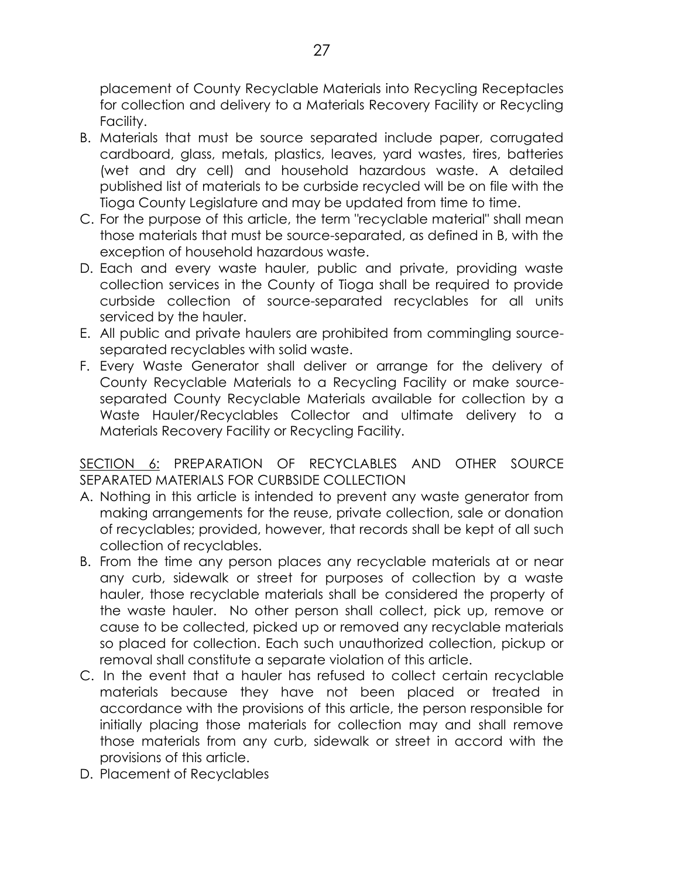placement of County Recyclable Materials into Recycling Receptacles for collection and delivery to a Materials Recovery Facility or Recycling Facility.

- B. Materials that must be source separated include paper, corrugated cardboard, glass, metals, plastics, leaves, yard wastes, tires, batteries (wet and dry cell) and household hazardous waste. A detailed published list of materials to be curbside recycled will be on file with the Tioga County Legislature and may be updated from time to time.
- C. For the purpose of this article, the term "recyclable material" shall mean those materials that must be source-separated, as defined in B, with the exception of household hazardous waste.
- D. Each and every waste hauler, public and private, providing waste collection services in the County of Tioga shall be required to provide curbside collection of source-separated recyclables for all units serviced by the hauler.
- E. All public and private haulers are prohibited from commingling sourceseparated recyclables with solid waste.
- F. Every Waste Generator shall deliver or arrange for the delivery of County Recyclable Materials to a Recycling Facility or make sourceseparated County Recyclable Materials available for collection by a Waste Hauler/Recyclables Collector and ultimate delivery to a Materials Recovery Facility or Recycling Facility.

## SECTION 6: PREPARATION OF RECYCLABLES AND OTHER SOURCE SEPARATED MATERIALS FOR CURBSIDE COLLECTION

- A. Nothing in this article is intended to prevent any waste generator from making arrangements for the reuse, private collection, sale or donation of recyclables; provided, however, that records shall be kept of all such collection of recyclables.
- B. From the time any person places any recyclable materials at or near any curb, sidewalk or street for purposes of collection by a waste hauler, those recyclable materials shall be considered the property of the waste hauler. No other person shall collect, pick up, remove or cause to be collected, picked up or removed any recyclable materials so placed for collection. Each such unauthorized collection, pickup or removal shall constitute a separate violation of this article.
- C. In the event that a hauler has refused to collect certain recyclable materials because they have not been placed or treated in accordance with the provisions of this article, the person responsible for initially placing those materials for collection may and shall remove those materials from any curb, sidewalk or street in accord with the provisions of this article.
- D. Placement of Recyclables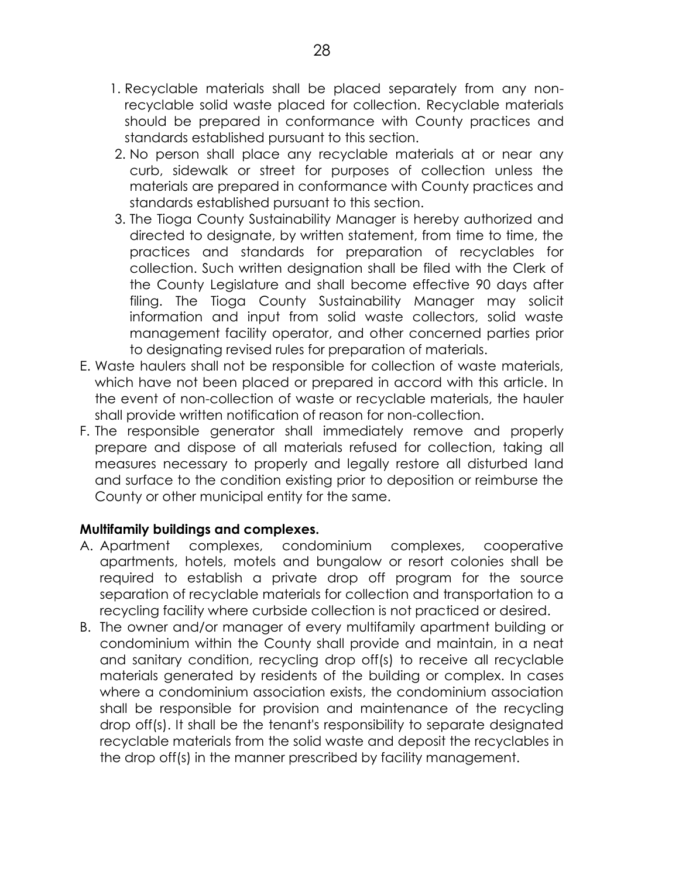- 1. Recyclable materials shall be placed separately from any nonrecyclable solid waste placed for collection. Recyclable materials should be prepared in conformance with County practices and standards established pursuant to this section.
- 2. No person shall place any recyclable materials at or near any curb, sidewalk or street for purposes of collection unless the materials are prepared in conformance with County practices and standards established pursuant to this section.
- 3. The Tioga County Sustainability Manager is hereby authorized and directed to designate, by written statement, from time to time, the practices and standards for preparation of recyclables for collection. Such written designation shall be filed with the Clerk of the County Legislature and shall become effective 90 days after filing. The Tioga County Sustainability Manager may solicit information and input from solid waste collectors, solid waste management facility operator, and other concerned parties prior to designating revised rules for preparation of materials.
- E. Waste haulers shall not be responsible for collection of waste materials, which have not been placed or prepared in accord with this article. In the event of non-collection of waste or recyclable materials, the hauler shall provide written notification of reason for non-collection.
- F. The responsible generator shall immediately remove and properly prepare and dispose of all materials refused for collection, taking all measures necessary to properly and legally restore all disturbed land and surface to the condition existing prior to deposition or reimburse the County or other municipal entity for the same.

## **Multifamily buildings and complexes.**

- A. Apartment complexes, condominium complexes, cooperative apartments, hotels, motels and bungalow or resort colonies shall be required to establish a private drop off program for the source separation of recyclable materials for collection and transportation to a recycling facility where curbside collection is not practiced or desired.
- B. The owner and/or manager of every multifamily apartment building or condominium within the County shall provide and maintain, in a neat and sanitary condition, recycling drop off(s) to receive all recyclable materials generated by residents of the building or complex. In cases where a condominium association exists, the condominium association shall be responsible for provision and maintenance of the recycling drop off(s). It shall be the tenant's responsibility to separate designated recyclable materials from the solid waste and deposit the recyclables in the drop off(s) in the manner prescribed by facility management.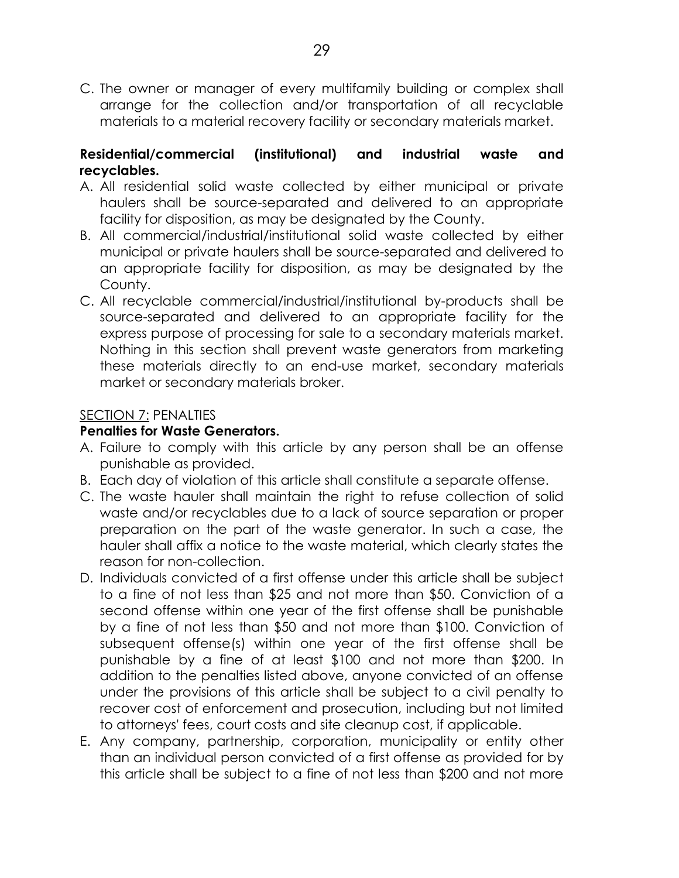C. The owner or manager of every multifamily building or complex shall arrange for the collection and/or transportation of all recyclable materials to a material recovery facility or secondary materials market.

## **Residential/commercial (institutional) and industrial waste and recyclables.**

- A. All residential solid waste collected by either municipal or private haulers shall be source-separated and delivered to an appropriate facility for disposition, as may be designated by the County.
- B. All commercial/industrial/institutional solid waste collected by either municipal or private haulers shall be source-separated and delivered to an appropriate facility for disposition, as may be designated by the County.
- C. All recyclable commercial/industrial/institutional by-products shall be source-separated and delivered to an appropriate facility for the express purpose of processing for sale to a secondary materials market. Nothing in this section shall prevent waste generators from marketing these materials directly to an end-use market, secondary materials market or secondary materials broker.

## SECTION 7: PENALTIES

### **Penalties for Waste Generators.**

- A. Failure to comply with this article by any person shall be an offense punishable as provided.
- B. Each day of violation of this article shall constitute a separate offense.
- C. The waste hauler shall maintain the right to refuse collection of solid waste and/or recyclables due to a lack of source separation or proper preparation on the part of the waste generator. In such a case, the hauler shall affix a notice to the waste material, which clearly states the reason for non-collection.
- D. Individuals convicted of a first offense under this article shall be subject to a fine of not less than \$25 and not more than \$50. Conviction of a second offense within one year of the first offense shall be punishable by a fine of not less than \$50 and not more than \$100. Conviction of subsequent offense(s) within one year of the first offense shall be punishable by a fine of at least \$100 and not more than \$200. In addition to the penalties listed above, anyone convicted of an offense under the provisions of this article shall be subject to a civil penalty to recover cost of enforcement and prosecution, including but not limited to attorneys' fees, court costs and site cleanup cost, if applicable.
- E. Any company, partnership, corporation, municipality or entity other than an individual person convicted of a first offense as provided for by this article shall be subject to a fine of not less than \$200 and not more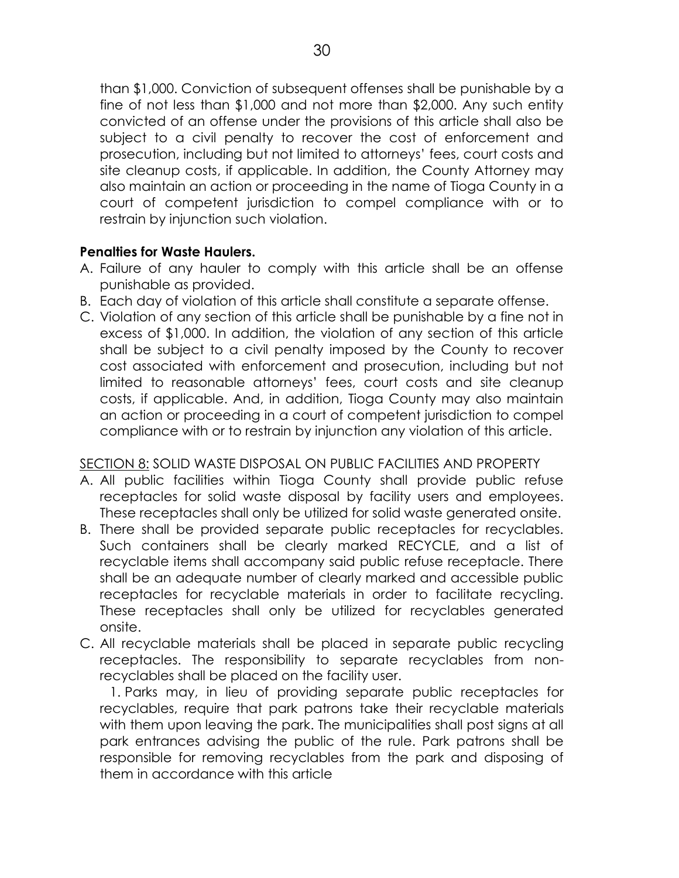than \$1,000. Conviction of subsequent offenses shall be punishable by a fine of not less than \$1,000 and not more than \$2,000. Any such entity convicted of an offense under the provisions of this article shall also be subject to a civil penalty to recover the cost of enforcement and prosecution, including but not limited to attorneys' fees, court costs and site cleanup costs, if applicable. In addition, the County Attorney may also maintain an action or proceeding in the name of Tioga County in a court of competent jurisdiction to compel compliance with or to restrain by injunction such violation.

## **Penalties for Waste Haulers.**

- A. Failure of any hauler to comply with this article shall be an offense punishable as provided.
- B. Each day of violation of this article shall constitute a separate offense.
- C. Violation of any section of this article shall be punishable by a fine not in excess of \$1,000. In addition, the violation of any section of this article shall be subject to a civil penalty imposed by the County to recover cost associated with enforcement and prosecution, including but not limited to reasonable attorneys' fees, court costs and site cleanup costs, if applicable. And, in addition, Tioga County may also maintain an action or proceeding in a court of competent jurisdiction to compel compliance with or to restrain by injunction any violation of this article.

## SECTION 8: SOLID WASTE DISPOSAL ON PUBLIC FACILITIES AND PROPERTY

- A. All public facilities within Tioga County shall provide public refuse receptacles for solid waste disposal by facility users and employees. These receptacles shall only be utilized for solid waste generated onsite.
- B. There shall be provided separate public receptacles for recyclables. Such containers shall be clearly marked RECYCLE, and a list of recyclable items shall accompany said public refuse receptacle. There shall be an adequate number of clearly marked and accessible public receptacles for recyclable materials in order to facilitate recycling. These receptacles shall only be utilized for recyclables generated onsite.
- C. All recyclable materials shall be placed in separate public recycling receptacles. The responsibility to separate recyclables from nonrecyclables shall be placed on the facility user.

1. Parks may, in lieu of providing separate public receptacles for recyclables, require that park patrons take their recyclable materials with them upon leaving the park. The municipalities shall post signs at all park entrances advising the public of the rule. Park patrons shall be responsible for removing recyclables from the park and disposing of them in accordance with this article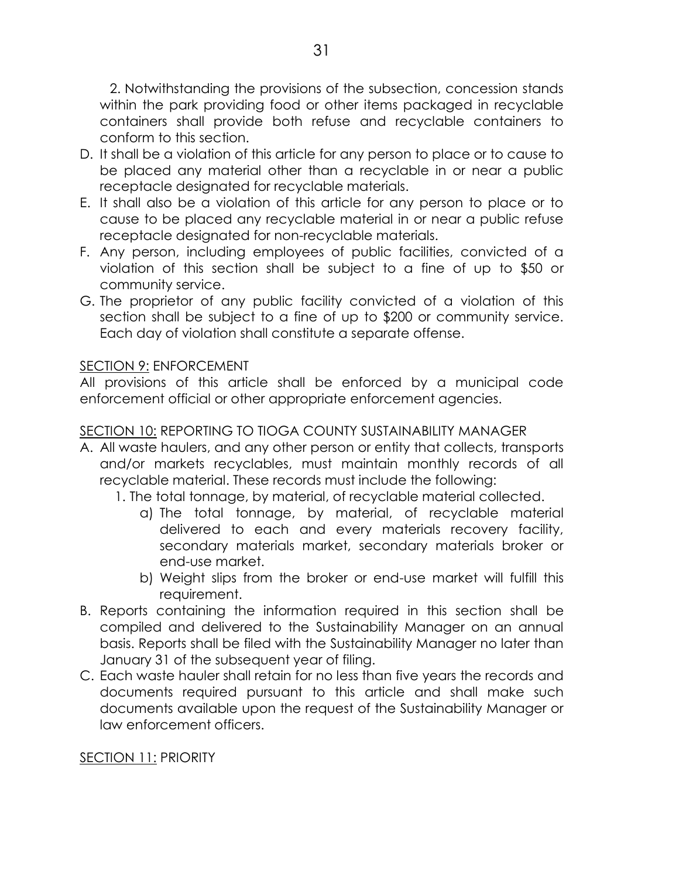2. Notwithstanding the provisions of the subsection, concession stands within the park providing food or other items packaged in recyclable containers shall provide both refuse and recyclable containers to conform to this section.

- D. It shall be a violation of this article for any person to place or to cause to be placed any material other than a recyclable in or near a public receptacle designated for recyclable materials.
- E. It shall also be a violation of this article for any person to place or to cause to be placed any recyclable material in or near a public refuse receptacle designated for non-recyclable materials.
- F. Any person, including employees of public facilities, convicted of a violation of this section shall be subject to a fine of up to \$50 or community service.
- G. The proprietor of any public facility convicted of a violation of this section shall be subject to a fine of up to \$200 or community service. Each day of violation shall constitute a separate offense.

### SECTION 9: ENFORCEMENT

All provisions of this article shall be enforced by a municipal code enforcement official or other appropriate enforcement agencies.

### SECTION 10: REPORTING TO TIOGA COUNTY SUSTAINABILITY MANAGER

- A. All waste haulers, and any other person or entity that collects, transports and/or markets recyclables, must maintain monthly records of all recyclable material. These records must include the following:
	- 1. The total tonnage, by material, of recyclable material collected.
		- a) The total tonnage, by material, of recyclable material delivered to each and every materials recovery facility, secondary materials market, secondary materials broker or end-use market.
		- b) Weight slips from the broker or end-use market will fulfill this requirement.
- B. Reports containing the information required in this section shall be compiled and delivered to the Sustainability Manager on an annual basis. Reports shall be filed with the Sustainability Manager no later than January 31 of the subsequent year of filing.
- C. Each waste hauler shall retain for no less than five years the records and documents required pursuant to this article and shall make such documents available upon the request of the Sustainability Manager or law enforcement officers.

## SECTION 11: PRIORITY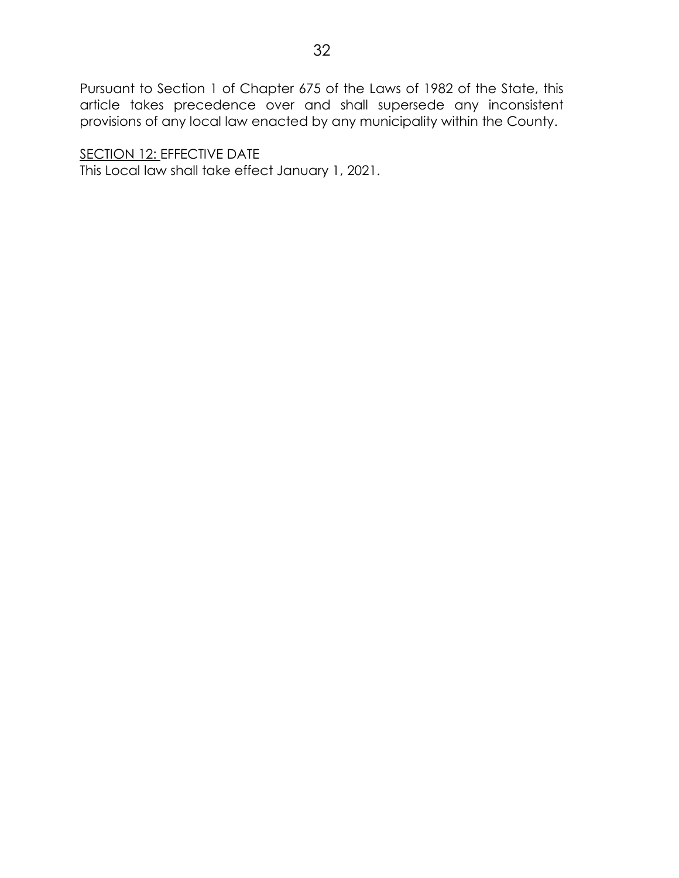Pursuant to Section 1 of Chapter 675 of the Laws of 1982 of the State, this article takes precedence over and shall supersede any inconsistent provisions of any local law enacted by any municipality within the County.

SECTION 12: EFFECTIVE DATE This Local law shall take effect January 1, 2021.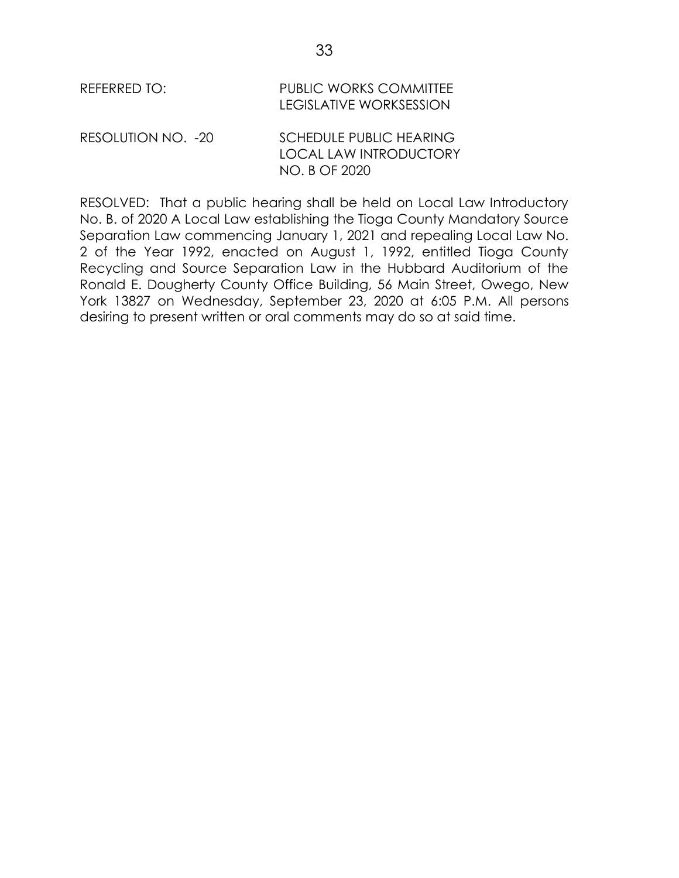| REFERRED TO:       | <b>PUBLIC WORKS COMMITTEE</b><br><b>LEGISLATIVE WORKSESSION</b>                  |
|--------------------|----------------------------------------------------------------------------------|
| RESOLUTION NO. -20 | <b>SCHEDULE PUBLIC HEARING</b><br><b>LOCAL LAW INTRODUCTORY</b><br>NO. B OF 2020 |

RESOLVED: That a public hearing shall be held on Local Law Introductory No. B. of 2020 A Local Law establishing the Tioga County Mandatory Source Separation Law commencing January 1, 2021 and repealing Local Law No. 2 of the Year 1992, enacted on August 1, 1992, entitled Tioga County Recycling and Source Separation Law in the Hubbard Auditorium of the Ronald E. Dougherty County Office Building, 56 Main Street, Owego, New York 13827 on Wednesday, September 23, 2020 at 6:05 P.M. All persons desiring to present written or oral comments may do so at said time.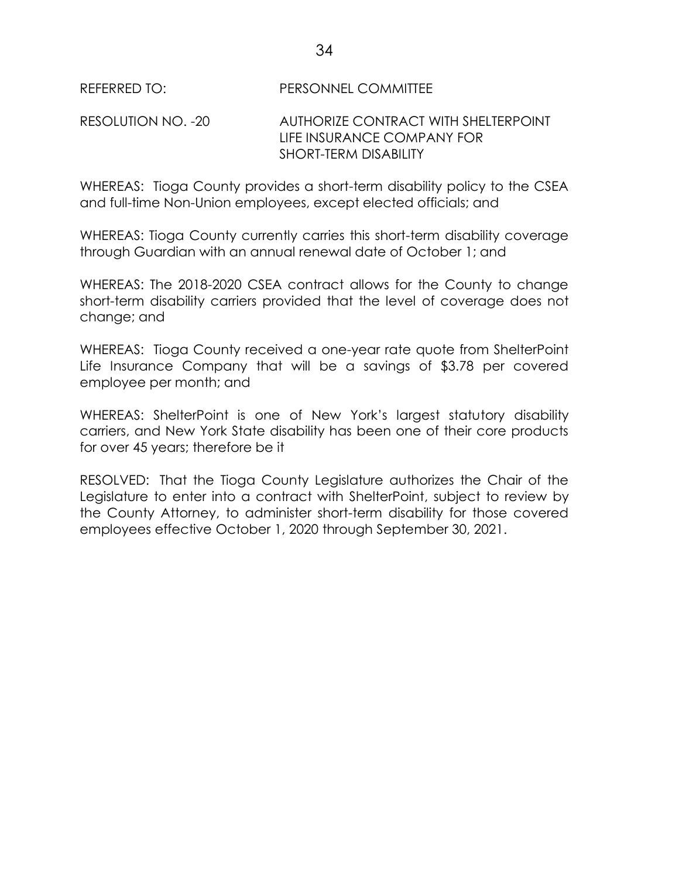#### REFERRED TO: PERSONNEL COMMITTEE

#### RESOLUTION NO. -20 AUTHORIZE CONTRACT WITH SHELTERPOINT LIFE INSURANCE COMPANY FOR SHORT-TERM DISABILITY

WHEREAS: Tioga County provides a short-term disability policy to the CSEA and full-time Non-Union employees, except elected officials; and

WHEREAS: Tioga County currently carries this short-term disability coverage through Guardian with an annual renewal date of October 1; and

WHEREAS: The 2018-2020 CSEA contract allows for the County to change short-term disability carriers provided that the level of coverage does not change; and

WHEREAS: Tioga County received a one-year rate quote from ShelterPoint Life Insurance Company that will be a savings of \$3.78 per covered employee per month; and

WHEREAS: ShelterPoint is one of New York's largest statutory disability carriers, and New York State disability has been one of their core products for over 45 years; therefore be it

RESOLVED: That the Tioga County Legislature authorizes the Chair of the Legislature to enter into a contract with ShelterPoint, subject to review by the County Attorney, to administer short-term disability for those covered employees effective October 1, 2020 through September 30, 2021.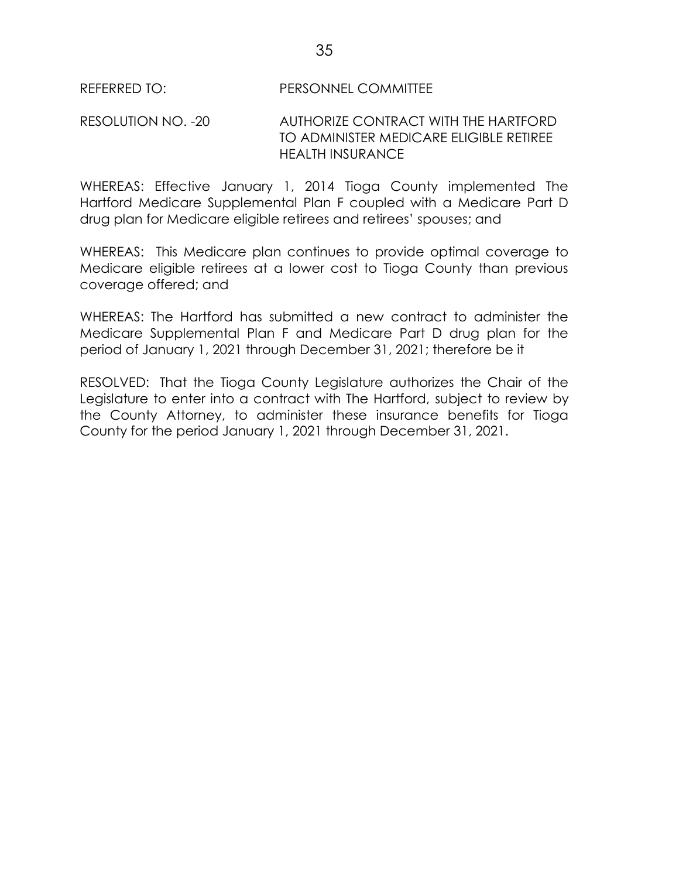REFERRED TO: PERSONNEL COMMITTEE

### RESOLUTION NO. -20 AUTHORIZE CONTRACT WITH THE HARTFORD TO ADMINISTER MEDICARE ELIGIBLE RETIREE HEALTH INSURANCE

WHEREAS: Effective January 1, 2014 Tioga County implemented The Hartford Medicare Supplemental Plan F coupled with a Medicare Part D drug plan for Medicare eligible retirees and retirees' spouses; and

WHEREAS: This Medicare plan continues to provide optimal coverage to Medicare eligible retirees at a lower cost to Tioga County than previous coverage offered; and

WHEREAS: The Hartford has submitted a new contract to administer the Medicare Supplemental Plan F and Medicare Part D drug plan for the period of January 1, 2021 through December 31, 2021; therefore be it

RESOLVED: That the Tioga County Legislature authorizes the Chair of the Legislature to enter into a contract with The Hartford, subject to review by the County Attorney, to administer these insurance benefits for Tioga County for the period January 1, 2021 through December 31, 2021.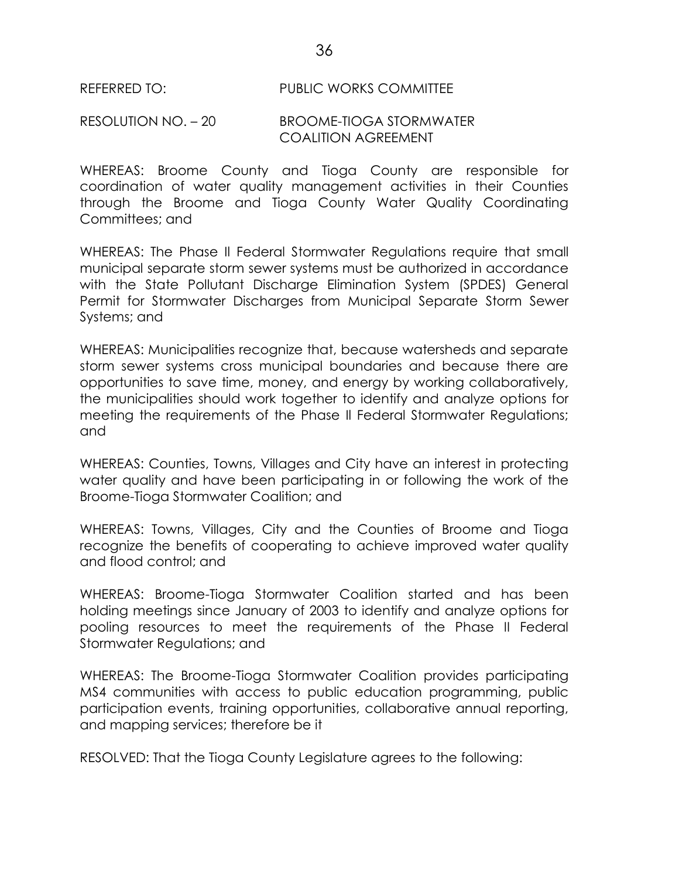#### REFERRED TO: PUBLIC WORKS COMMITTEE

#### RESOLUTION NO. – 20 BROOME-TIOGA STORMWATER COALITION AGREEMENT

WHEREAS: Broome County and Tioga County are responsible for coordination of water quality management activities in their Counties through the Broome and Tioga County Water Quality Coordinating Committees; and

WHEREAS: The Phase Il Federal Stormwater Regulations require that small municipal separate storm sewer systems must be authorized in accordance with the State Pollutant Discharge Elimination System (SPDES) General Permit for Stormwater Discharges from Municipal Separate Storm Sewer Systems; and

WHEREAS: Municipalities recognize that, because watersheds and separate storm sewer systems cross municipal boundaries and because there are opportunities to save time, money, and energy by working collaboratively, the municipalities should work together to identify and analyze options for meeting the requirements of the Phase Il Federal Stormwater Regulations; and

WHEREAS: Counties, Towns, Villages and City have an interest in protecting water quality and have been participating in or following the work of the Broome-Tioga Stormwater Coalition; and

WHEREAS: Towns, Villages, City and the Counties of Broome and Tioga recognize the benefits of cooperating to achieve improved water quality and flood control; and

WHEREAS: Broome-Tioga Stormwater Coalition started and has been holding meetings since January of 2003 to identify and analyze options for pooling resources to meet the requirements of the Phase II Federal Stormwater Regulations; and

WHEREAS: The Broome-Tioga Stormwater Coalition provides participating MS4 communities with access to public education programming, public participation events, training opportunities, collaborative annual reporting, and mapping services; therefore be it

RESOLVED: That the Tioga County Legislature agrees to the following: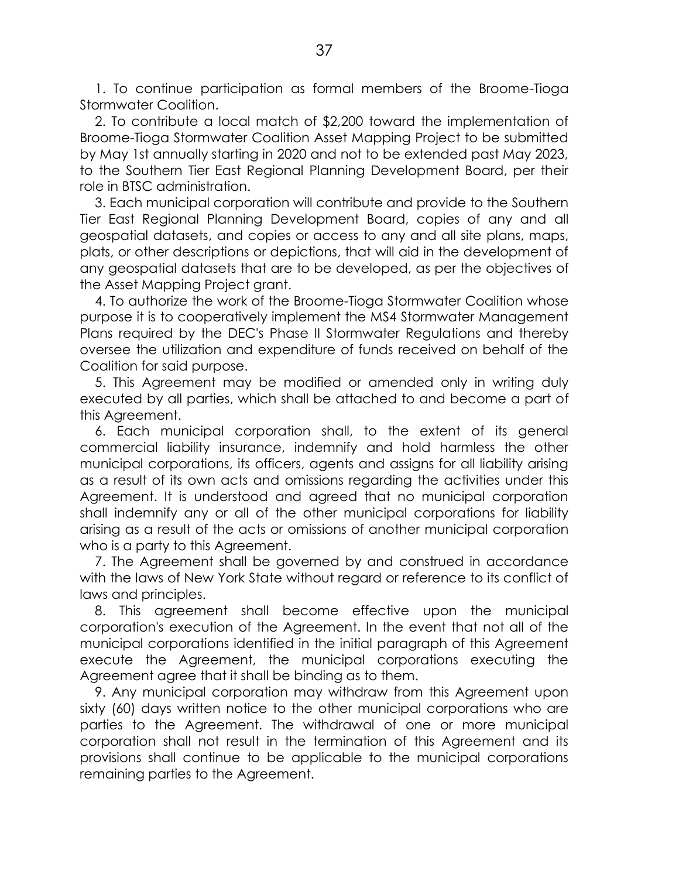1. To continue participation as formal members of the Broome-Tioga Stormwater Coalition.

2. To contribute a local match of \$2,200 toward the implementation of Broome-Tioga Stormwater Coalition Asset Mapping Project to be submitted by May 1st annually starting in 2020 and not to be extended past May 2023, to the Southern Tier East Regional Planning Development Board, per their role in BTSC administration.

3. Each municipal corporation will contribute and provide to the Southern Tier East Regional Planning Development Board, copies of any and all geospatial datasets, and copies or access to any and all site plans, maps, plats, or other descriptions or depictions, that will aid in the development of any geospatial datasets that are to be developed, as per the objectives of the Asset Mapping Project grant.

4. To authorize the work of the Broome-Tioga Stormwater Coalition whose purpose it is to cooperatively implement the MS4 Stormwater Management Plans required by the DEC's Phase II Stormwater Regulations and thereby oversee the utilization and expenditure of funds received on behalf of the Coalition for said purpose.

5. This Agreement may be modified or amended only in writing duly executed by all parties, which shall be attached to and become a part of this Agreement.

6. Each municipal corporation shall, to the extent of its general commercial liability insurance, indemnify and hold harmless the other municipal corporations, its officers, agents and assigns for all liability arising as a result of its own acts and omissions regarding the activities under this Agreement. It is understood and agreed that no municipal corporation shall indemnify any or all of the other municipal corporations for liability arising as a result of the acts or omissions of another municipal corporation who is a party to this Agreement.

7. The Agreement shall be governed by and construed in accordance with the laws of New York State without regard or reference to its conflict of laws and principles.

8. This agreement shall become effective upon the municipal corporation's execution of the Agreement. In the event that not all of the municipal corporations identified in the initial paragraph of this Agreement execute the Agreement, the municipal corporations executing the Agreement agree that it shall be binding as to them.

9. Any municipal corporation may withdraw from this Agreement upon sixty (60) days written notice to the other municipal corporations who are parties to the Agreement. The withdrawal of one or more municipal corporation shall not result in the termination of this Agreement and its provisions shall continue to be applicable to the municipal corporations remaining parties to the Agreement.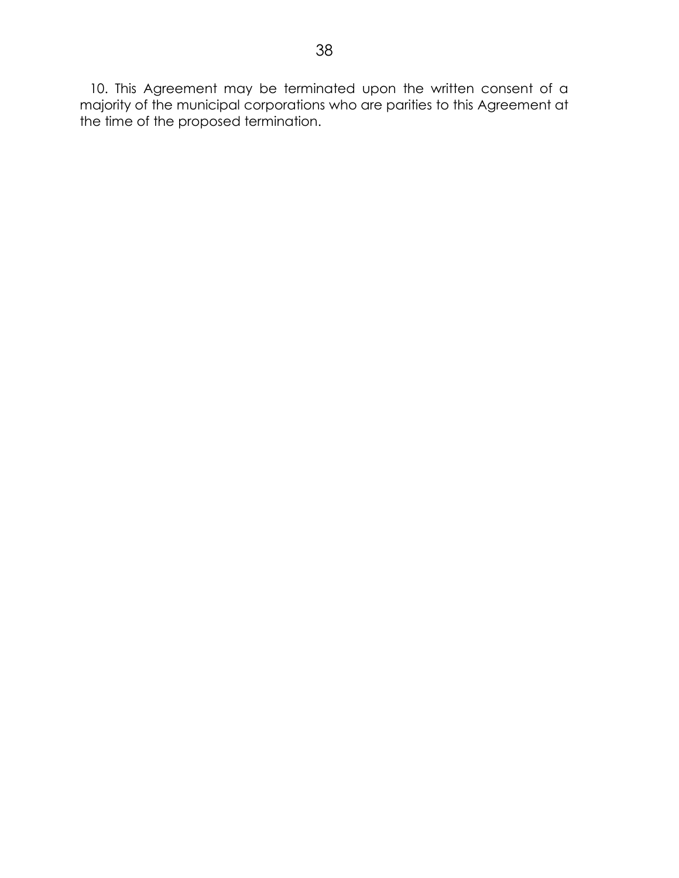10. This Agreement may be terminated upon the written consent of a majority of the municipal corporations who are parities to this Agreement at the time of the proposed termination.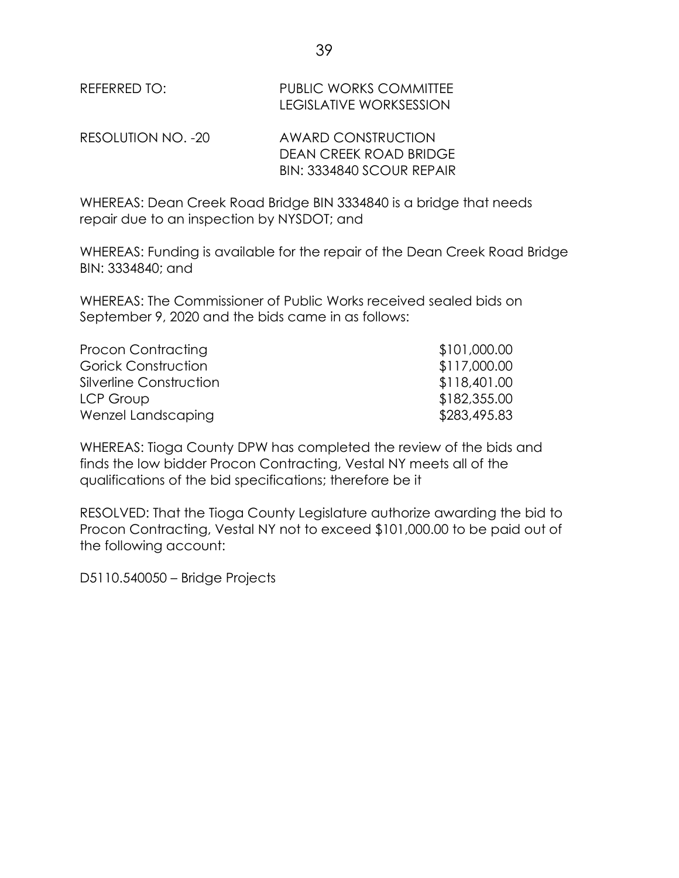| REFERRED TO:       | PUBLIC WORKS COMMITTEE<br><b>LEGISLATIVE WORKSESSION</b>                  |
|--------------------|---------------------------------------------------------------------------|
| RESOLUTION NO. -20 | AWARD CONSTRUCTION<br>DEAN CREEK ROAD BRIDGE<br>BIN: 3334840 SCOUR REPAIR |

WHEREAS: Dean Creek Road Bridge BIN 3334840 is a bridge that needs repair due to an inspection by NYSDOT; and

WHEREAS: Funding is available for the repair of the Dean Creek Road Bridge BIN: 3334840; and

WHEREAS: The Commissioner of Public Works received sealed bids on September 9, 2020 and the bids came in as follows:

| Procon Contracting         | \$101,000.00 |
|----------------------------|--------------|
| <b>Gorick Construction</b> | \$117,000.00 |
| Silverline Construction    | \$118,401.00 |
| LCP Group                  | \$182,355.00 |
| Wenzel Landscaping         | \$283,495.83 |

WHEREAS: Tioga County DPW has completed the review of the bids and finds the low bidder Procon Contracting, Vestal NY meets all of the qualifications of the bid specifications; therefore be it

RESOLVED: That the Tioga County Legislature authorize awarding the bid to Procon Contracting, Vestal NY not to exceed \$101,000.00 to be paid out of the following account:

D5110.540050 – Bridge Projects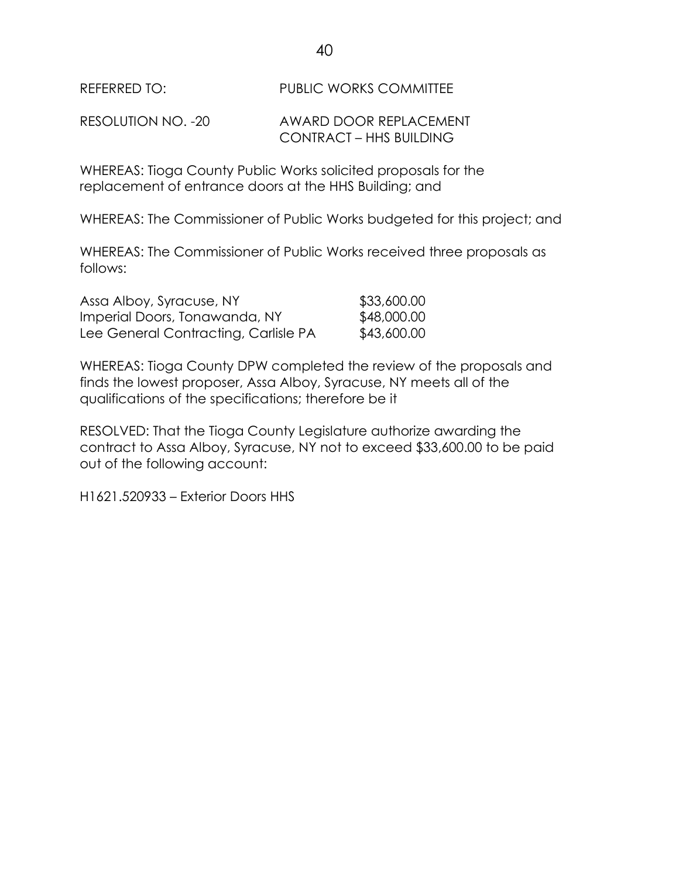REFERRED TO: PUBLIC WORKS COMMITTEE

RESOLUTION NO. -20 AWARD DOOR REPLACEMENT CONTRACT – HHS BUILDING

WHEREAS: Tioga County Public Works solicited proposals for the replacement of entrance doors at the HHS Building; and

WHEREAS: The Commissioner of Public Works budgeted for this project; and

WHEREAS: The Commissioner of Public Works received three proposals as follows:

| Assa Alboy, Syracuse, NY             | \$33,600.00 |
|--------------------------------------|-------------|
| Imperial Doors, Tonawanda, NY        | \$48,000.00 |
| Lee General Contracting, Carlisle PA | \$43,600.00 |

WHEREAS: Tioga County DPW completed the review of the proposals and finds the lowest proposer, Assa Alboy, Syracuse, NY meets all of the qualifications of the specifications; therefore be it

RESOLVED: That the Tioga County Legislature authorize awarding the contract to Assa Alboy, Syracuse, NY not to exceed \$33,600.00 to be paid out of the following account:

H1621.520933 – Exterior Doors HHS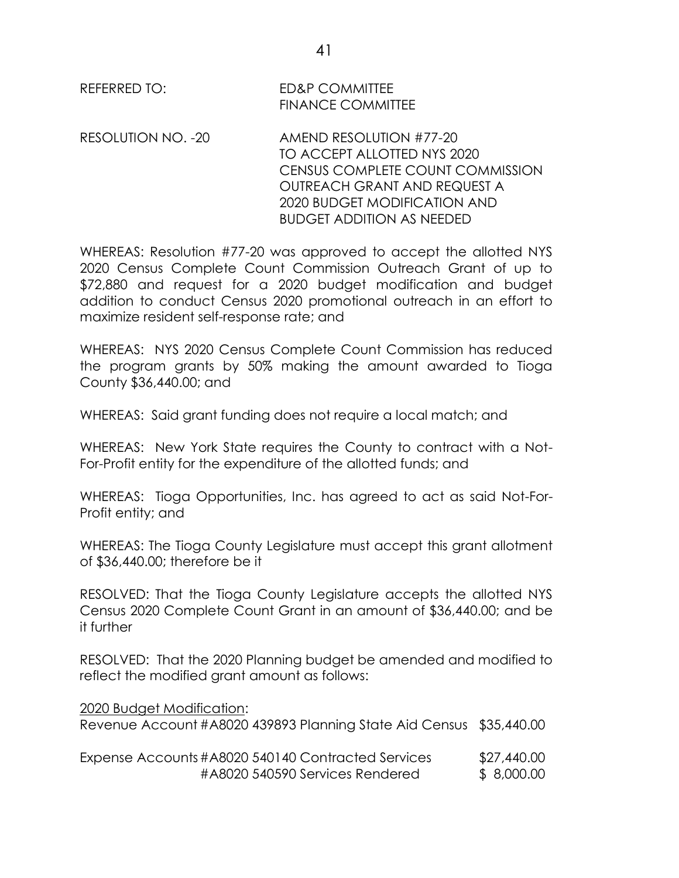REFERRED TO: ED&P COMMITTEE FINANCE COMMITTEE

RESOLUTION NO. -20 AMEND RESOLUTION #77-20 TO ACCEPT ALLOTTED NYS 2020 CENSUS COMPLETE COUNT COMMISSION OUTREACH GRANT AND REQUEST A 2020 BUDGET MODIFICATION AND BUDGET ADDITION AS NEEDED

WHEREAS: Resolution #77-20 was approved to accept the allotted NYS 2020 Census Complete Count Commission Outreach Grant of up to \$72,880 and request for a 2020 budget modification and budget addition to conduct Census 2020 promotional outreach in an effort to maximize resident self-response rate; and

WHEREAS: NYS 2020 Census Complete Count Commission has reduced the program grants by 50% making the amount awarded to Tioga County \$36,440.00; and

WHEREAS: Said grant funding does not require a local match; and

WHEREAS: New York State requires the County to contract with a Not-For-Profit entity for the expenditure of the allotted funds; and

WHEREAS: Tioga Opportunities, Inc. has agreed to act as said Not-For-Profit entity; and

WHEREAS: The Tioga County Legislature must accept this grant allotment of \$36,440.00; therefore be it

RESOLVED: That the Tioga County Legislature accepts the allotted NYS Census 2020 Complete Count Grant in an amount of \$36,440.00; and be it further

RESOLVED: That the 2020 Planning budget be amended and modified to reflect the modified grant amount as follows:

| 2020 Budget Modification:                                           |             |
|---------------------------------------------------------------------|-------------|
| Revenue Account #A8020 439893 Planning State Aid Census \$35,440.00 |             |
| Expense Accounts #A8020 540140 Contracted Services                  | \$27,440.00 |

#A8020 540590 Services Rendered \$ 8,000.00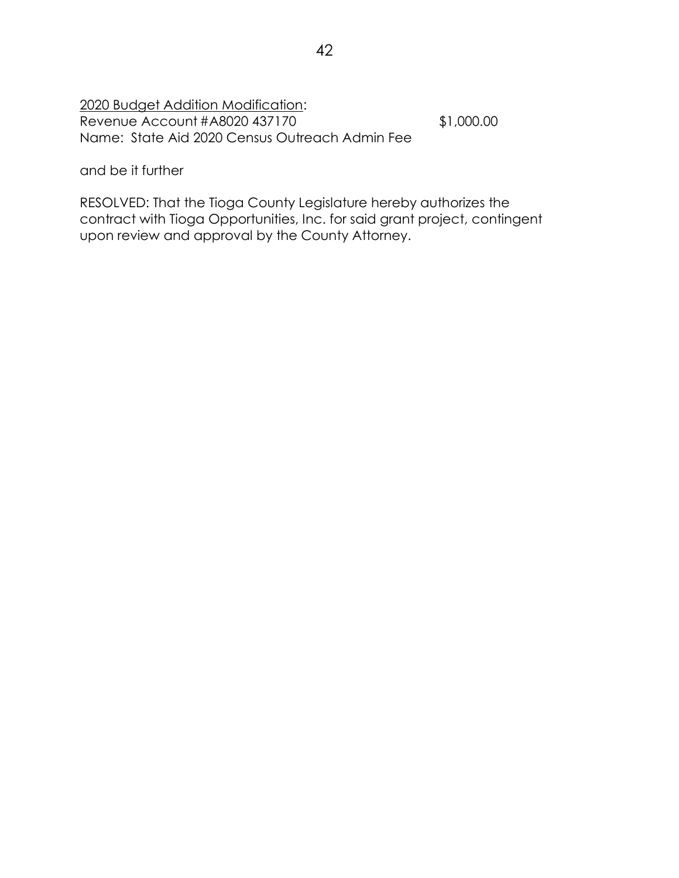2020 Budget Addition Modification: Revenue Account #A8020 437170 \$1,000.00 Name: State Aid 2020 Census Outreach Admin Fee

and be it further

RESOLVED: That the Tioga County Legislature hereby authorizes the contract with Tioga Opportunities, Inc. for said grant project, contingent upon review and approval by the County Attorney.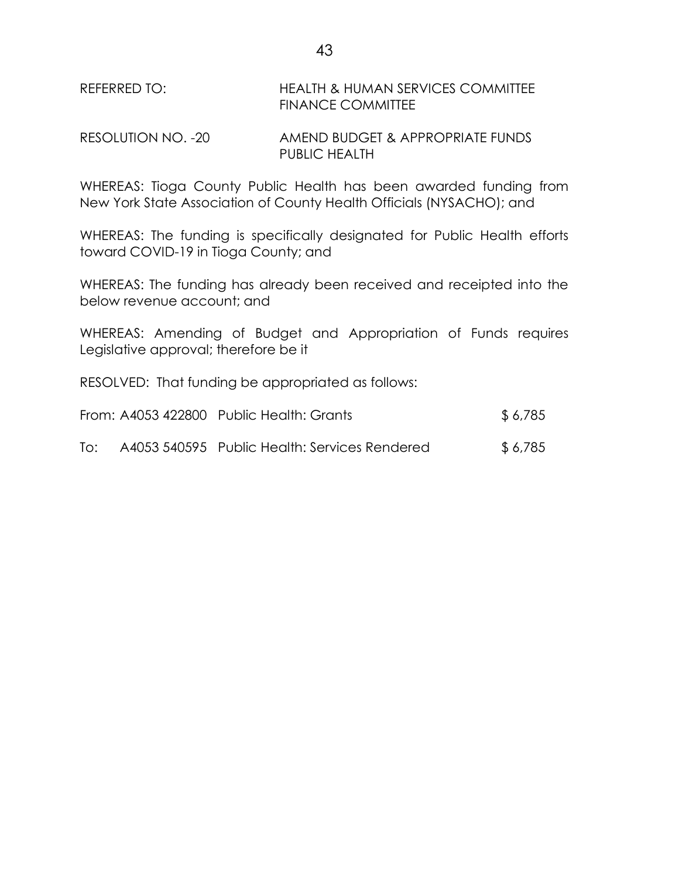REFERRED TO: HEALTH & HUMAN SERVICES COMMITTEE FINANCE COMMITTEE

RESOLUTION NO. -20 AMEND BUDGET & APPROPRIATE FUNDS PUBLIC HEALTH

WHEREAS: Tioga County Public Health has been awarded funding from New York State Association of County Health Officials (NYSACHO); and

WHEREAS: The funding is specifically designated for Public Health efforts toward COVID-19 in Tioga County; and

WHEREAS: The funding has already been received and receipted into the below revenue account; and

WHEREAS: Amending of Budget and Appropriation of Funds requires Legislative approval; therefore be it

RESOLVED: That funding be appropriated as follows:

|     | From: A4053 422800 Public Health: Grants      | \$ 6,785 |
|-----|-----------------------------------------------|----------|
| To: | A4053 540595 Public Health: Services Rendered | \$ 6,785 |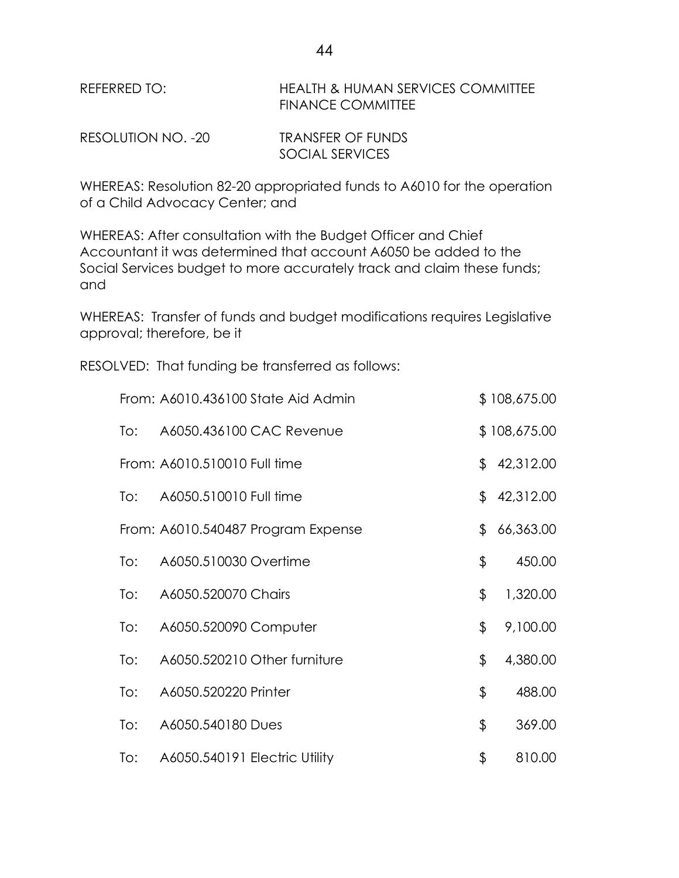REFERRED TO: HEALTH & HUMAN SERVICES COMMITTEE FINANCE COMMITTEE

| RESOLUTION NO. -20 | <b>TRANSFER OF FUNDS</b> |
|--------------------|--------------------------|
|                    | <b>SOCIAL SERVICES</b>   |

WHEREAS: Resolution 82-20 appropriated funds to A6010 for the operation of a Child Advocacy Center; and

WHEREAS: After consultation with the Budget Officer and Chief Accountant it was determined that account A6050 be added to the Social Services budget to more accurately track and claim these funds; and

WHEREAS: Transfer of funds and budget modifications requires Legislative approval; therefore, be it

RESOLVED: That funding be transferred as follows:

|     | From: A6010.436100 State Aid Admin | \$108,675.00    |
|-----|------------------------------------|-----------------|
| To: | A6050.436100 CAC Revenue           | \$108,675.00    |
|     | From: A6010.510010 Full time       | \$<br>42,312.00 |
| To: | A6050.510010 Full time             | \$<br>42,312.00 |
|     | From: A6010.540487 Program Expense | \$<br>66,363.00 |
| To: | A6050.510030 Overtime              | \$<br>450.00    |
| To: | A6050.520070 Chairs                | \$<br>1,320.00  |
| To: | A6050.520090 Computer              | \$<br>9,100.00  |
| To: | A6050.520210 Other furniture       | \$<br>4,380.00  |
| To: | A6050.520220 Printer               | \$<br>488.00    |
| To: | A6050.540180 Dues                  | \$<br>369.00    |
| To: | A6050.540191 Electric Utility      | \$<br>810.00    |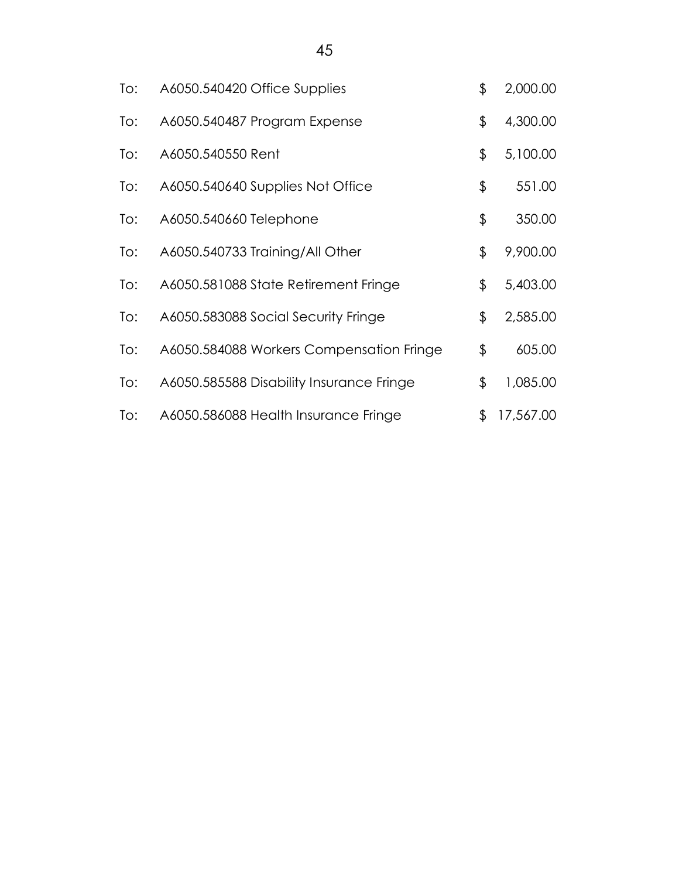| To: | A6050.540420 Office Supplies             | \$<br>2,000.00  |
|-----|------------------------------------------|-----------------|
| To: | A6050.540487 Program Expense             | \$<br>4,300.00  |
| To: | A6050.540550 Rent                        | \$<br>5,100.00  |
| To: | A6050.540640 Supplies Not Office         | \$<br>551.00    |
| To: | A6050.540660 Telephone                   | \$<br>350.00    |
| To: | A6050.540733 Training/All Other          | \$<br>9,900.00  |
| To: | A6050.581088 State Retirement Fringe     | \$<br>5,403.00  |
| To: | A6050.583088 Social Security Fringe      | \$<br>2,585.00  |
| To: | A6050.584088 Workers Compensation Fringe | \$<br>605.00    |
| To: | A6050.585588 Disability Insurance Fringe | \$<br>1,085.00  |
| To: | A6050.586088 Health Insurance Fringe     | \$<br>17,567.00 |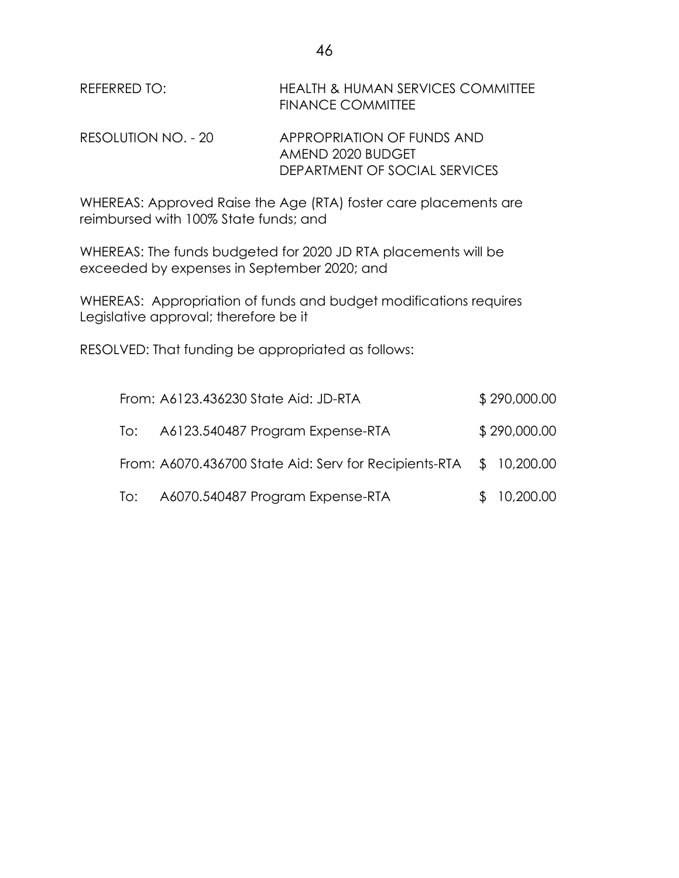| REFERRED TO:        | <b>HEALTH &amp; HUMAN SERVICES COMMITTEE</b><br><b>FINANCE COMMITTEE</b>         |
|---------------------|----------------------------------------------------------------------------------|
| RESOLUTION NO. - 20 | APPROPRIATION OF FUNDS AND<br>AMEND 2020 BUDGET<br>DEPARTMENT OF SOCIAL SERVICES |

WHEREAS: Approved Raise the Age (RTA) foster care placements are reimbursed with 100% State funds; and

WHEREAS: The funds budgeted for 2020 JD RTA placements will be exceeded by expenses in September 2020; and

WHEREAS: Appropriation of funds and budget modifications requires Legislative approval; therefore be it

RESOLVED: That funding be appropriated as follows:

|     | From: A6123.436230 State Aid: JD-RTA                               | \$290,000.00 |
|-----|--------------------------------------------------------------------|--------------|
| To: | A6123.540487 Program Expense-RTA                                   | \$290,000.00 |
|     | From: A6070.436700 State Aid: Serv for Recipients-RTA \$ 10,200.00 |              |
|     | To: A6070.540487 Program Expense-RTA                               | \$10,200.00  |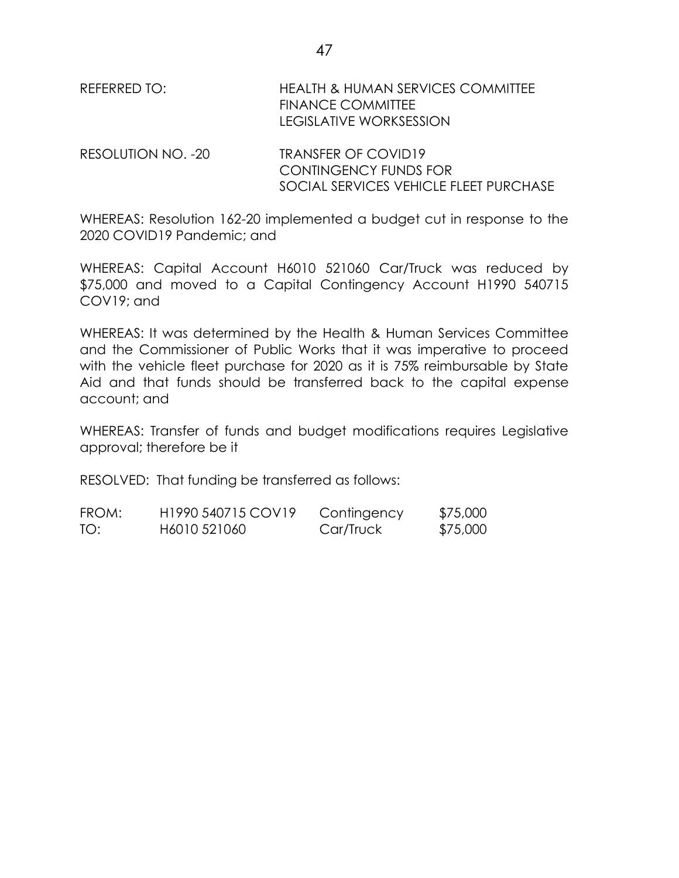| REFERRED TO:       | <b>HEALTH &amp; HUMAN SERVICES COMMITTEE</b><br><b>FINANCE COMMITTEE</b><br>LEGISLATIVE WORKSESSION |
|--------------------|-----------------------------------------------------------------------------------------------------|
| RESOLUTION NO. -20 | TRANSFER OF COVID19<br><b>CONTINGENCY FUNDS FOR</b>                                                 |

WHEREAS: Resolution 162-20 implemented a budget cut in response to the 2020 COVID19 Pandemic; and

SOCIAL SERVICES VEHICLE FLEET PURCHASE

WHEREAS: Capital Account H6010 521060 Car/Truck was reduced by \$75,000 and moved to a Capital Contingency Account H1990 540715 COV19; and

WHEREAS: It was determined by the Health & Human Services Committee and the Commissioner of Public Works that it was imperative to proceed with the vehicle fleet purchase for 2020 as it is 75% reimbursable by State Aid and that funds should be transferred back to the capital expense account; and

WHEREAS: Transfer of funds and budget modifications requires Legislative approval; therefore be it

RESOLVED: That funding be transferred as follows:

| FROM: | H <sub>1990</sub> 540715 COV <sub>19</sub> | Contingency | \$75,000 |
|-------|--------------------------------------------|-------------|----------|
| TO:   | H6010 521060                               | Car/Truck   | \$75,000 |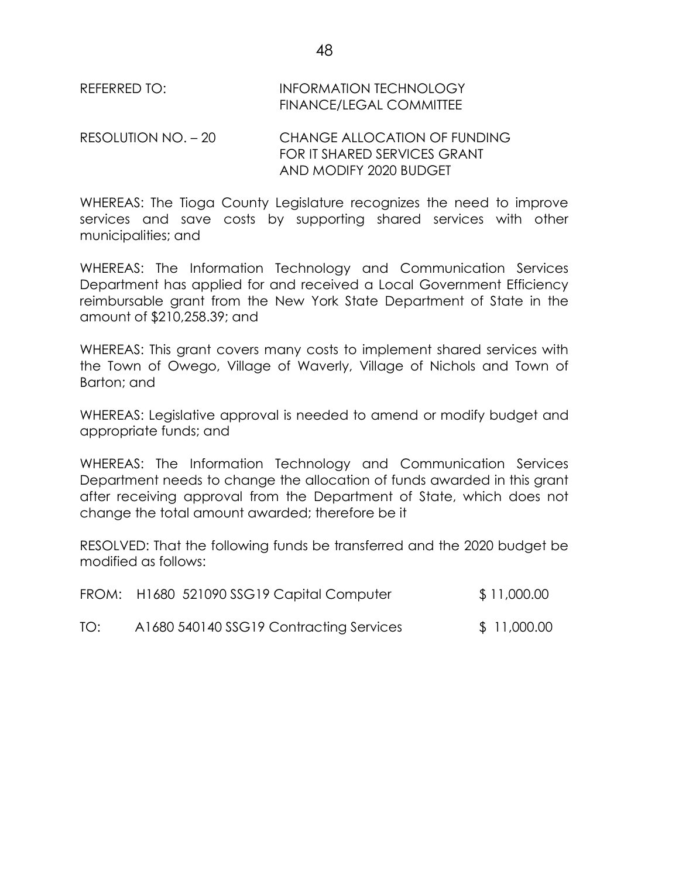| REFERRED TO: | <b>INFORMATION TECHNOLOGY</b>  |
|--------------|--------------------------------|
|              | <b>FINANCE/LEGAL COMMITTEE</b> |

RESOLUTION NO. – 20 CHANGE ALLOCATION OF FUNDING FOR IT SHARED SERVICES GRANT AND MODIFY 2020 BUDGET

WHEREAS: The Tioga County Legislature recognizes the need to improve services and save costs by supporting shared services with other municipalities; and

WHEREAS: The Information Technology and Communication Services Department has applied for and received a Local Government Efficiency reimbursable grant from the New York State Department of State in the amount of \$210,258.39; and

WHEREAS: This grant covers many costs to implement shared services with the Town of Owego, Village of Waverly, Village of Nichols and Town of Barton; and

WHEREAS: Legislative approval is needed to amend or modify budget and appropriate funds; and

WHEREAS: The Information Technology and Communication Services Department needs to change the allocation of funds awarded in this grant after receiving approval from the Department of State, which does not change the total amount awarded; therefore be it

RESOLVED: That the following funds be transferred and the 2020 budget be modified as follows:

|     | FROM: H1680 521090 SSG19 Capital Computer | \$11,000.00 |
|-----|-------------------------------------------|-------------|
| TO: | A1680 540140 SSG19 Contracting Services   | \$11,000.00 |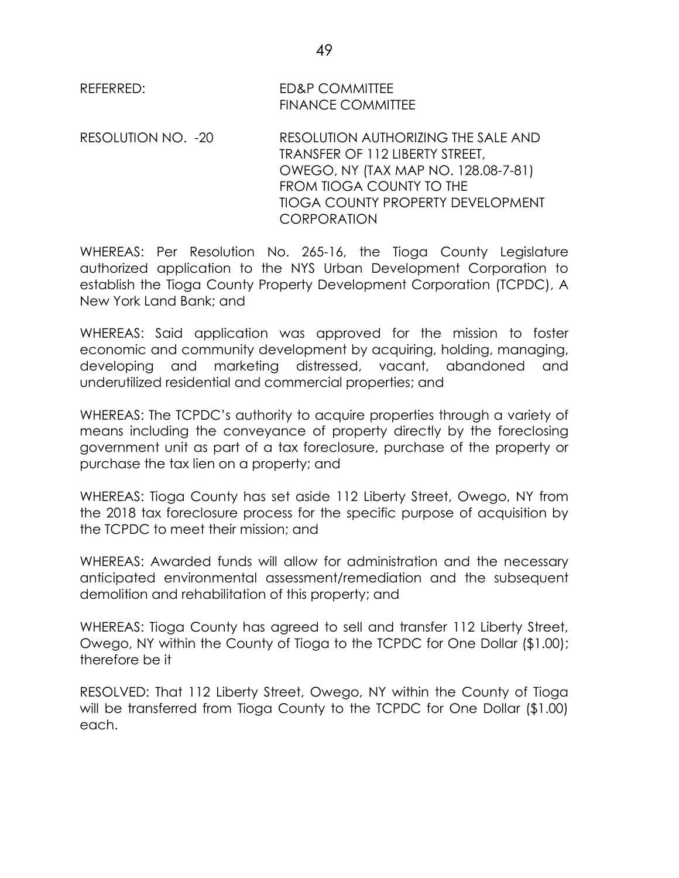REFERRED: ED&P COMMITTEE FINANCE COMMITTEE

RESOLUTION NO. -20 RESOLUTION AUTHORIZING THE SALE AND TRANSFER OF 112 LIBERTY STREET, OWEGO, NY (TAX MAP NO. 128.08-7-81) FROM TIOGA COUNTY TO THE TIOGA COUNTY PROPERTY DEVELOPMENT **CORPORATION** 

WHEREAS: Per Resolution No. 265-16, the Tioga County Legislature authorized application to the NYS Urban Development Corporation to establish the Tioga County Property Development Corporation (TCPDC), A New York Land Bank; and

WHEREAS: Said application was approved for the mission to foster economic and community development by acquiring, holding, managing, developing and marketing distressed, vacant, abandoned and underutilized residential and commercial properties; and

WHEREAS: The TCPDC's authority to acquire properties through a variety of means including the conveyance of property directly by the foreclosing government unit as part of a tax foreclosure, purchase of the property or purchase the tax lien on a property; and

WHEREAS: Tioga County has set aside 112 Liberty Street, Owego, NY from the 2018 tax foreclosure process for the specific purpose of acquisition by the TCPDC to meet their mission; and

WHEREAS: Awarded funds will allow for administration and the necessary anticipated environmental assessment/remediation and the subsequent demolition and rehabilitation of this property; and

WHEREAS: Tioga County has agreed to sell and transfer 112 Liberty Street, Owego, NY within the County of Tioga to the TCPDC for One Dollar (\$1.00); therefore be it

RESOLVED: That 112 Liberty Street, Owego, NY within the County of Tioga will be transferred from Tioga County to the TCPDC for One Dollar (\$1.00) each.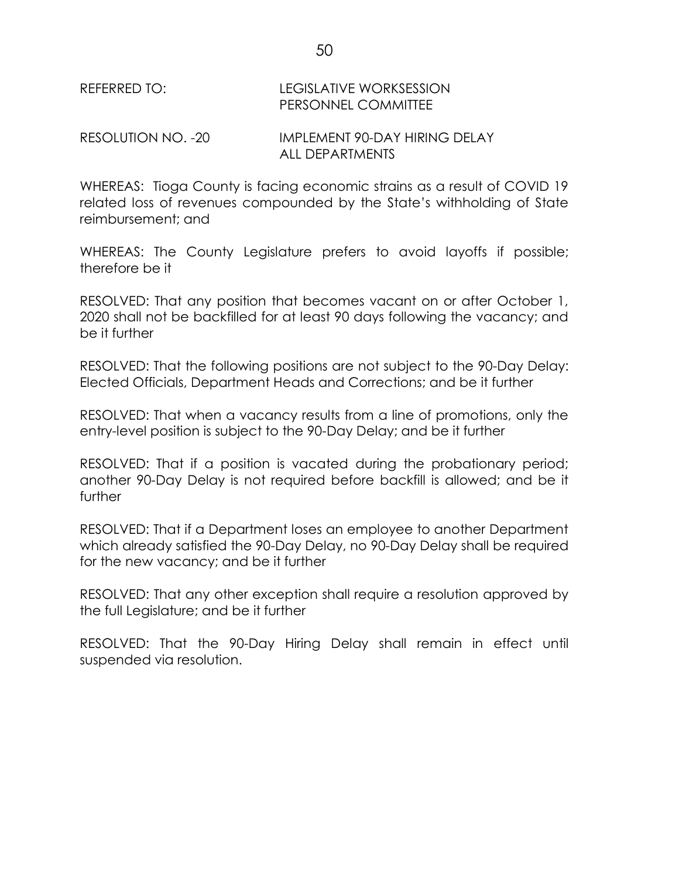| REFERRED TO:       | <b>LEGISLATIVE WORKSESSION</b><br>PERSONNEL COMMITTEE |
|--------------------|-------------------------------------------------------|
| RESOLUTION NO. -20 | IMPLEMENT 90-DAY HIRING DELAY                         |

WHEREAS: Tioga County is facing economic strains as a result of COVID 19 related loss of revenues compounded by the State's withholding of State reimbursement; and

ALL DEPARTMENTS

WHEREAS: The County Legislature prefers to avoid layoffs if possible; therefore be it

RESOLVED: That any position that becomes vacant on or after October 1, 2020 shall not be backfilled for at least 90 days following the vacancy; and be it further

RESOLVED: That the following positions are not subject to the 90-Day Delay: Elected Officials, Department Heads and Corrections; and be it further

RESOLVED: That when a vacancy results from a line of promotions, only the entry-level position is subject to the 90-Day Delay; and be it further

RESOLVED: That if a position is vacated during the probationary period; another 90-Day Delay is not required before backfill is allowed; and be it further

RESOLVED: That if a Department loses an employee to another Department which already satisfied the 90-Day Delay, no 90-Day Delay shall be required for the new vacancy; and be it further

RESOLVED: That any other exception shall require a resolution approved by the full Legislature; and be it further

RESOLVED: That the 90-Day Hiring Delay shall remain in effect until suspended via resolution.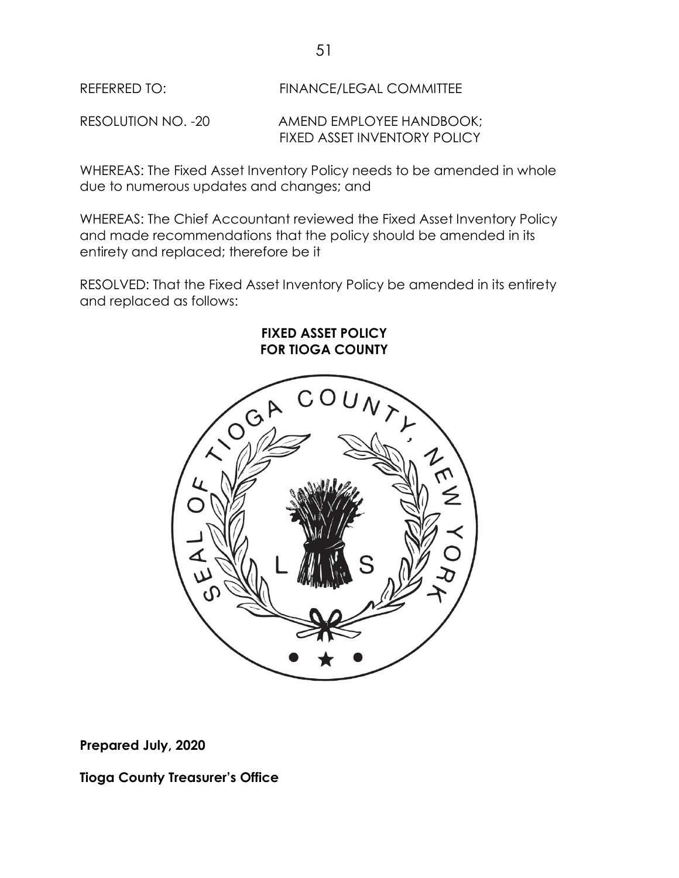REFERRED TO: FINANCE/LEGAL COMMITTEE

RESOLUTION NO. -20 AMEND EMPLOYEE HANDBOOK; FIXED ASSET INVENTORY POLICY

WHEREAS: The Fixed Asset Inventory Policy needs to be amended in whole due to numerous updates and changes; and

WHEREAS: The Chief Accountant reviewed the Fixed Asset Inventory Policy and made recommendations that the policy should be amended in its entirety and replaced; therefore be it

RESOLVED: That the Fixed Asset Inventory Policy be amended in its entirety and replaced as follows:

> **FIXED ASSET POLICY FOR TIOGA COUNTY**



**Prepared July, 2020**

**Tioga County Treasurer's Office**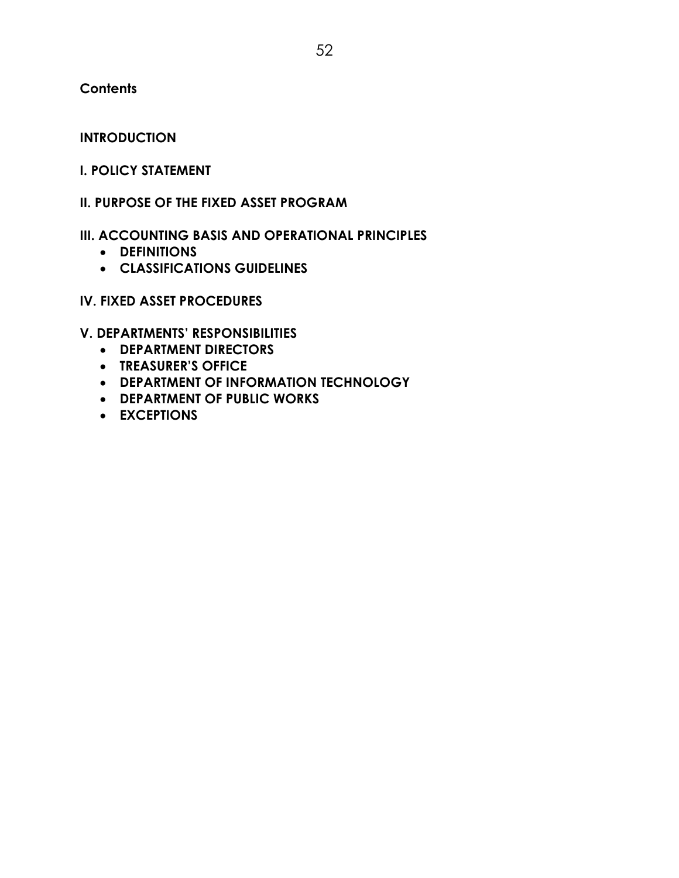**Contents**

### **INTRODUCTION**

### **I. POLICY STATEMENT**

### **II. PURPOSE OF THE FIXED ASSET PROGRAM**

### **III. ACCOUNTING BASIS AND OPERATIONAL PRINCIPLES**

- **DEFINITIONS**
- **CLASSIFICATIONS GUIDELINES**

### **IV. FIXED ASSET PROCEDURES**

## **V. DEPARTMENTS' RESPONSIBILITIES**

- **DEPARTMENT DIRECTORS**
- **TREASURER'S OFFICE**
- **DEPARTMENT OF INFORMATION TECHNOLOGY**
- **DEPARTMENT OF PUBLIC WORKS**
- **EXCEPTIONS**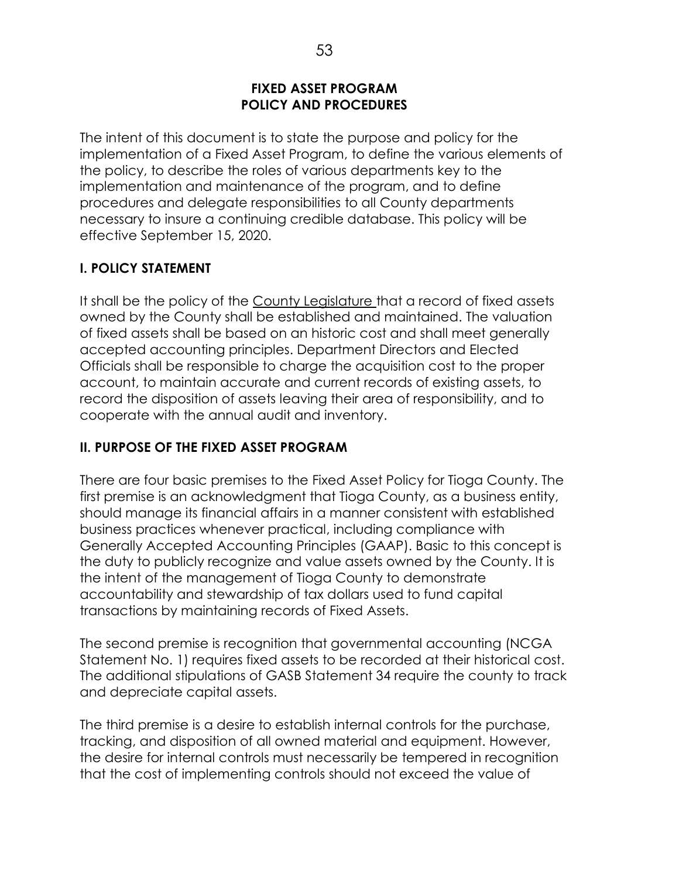### **FIXED ASSET PROGRAM POLICY AND PROCEDURES**

The intent of this document is to state the purpose and policy for the implementation of a Fixed Asset Program, to define the various elements of the policy, to describe the roles of various departments key to the implementation and maintenance of the program, and to define procedures and delegate responsibilities to all County departments necessary to insure a continuing credible database. This policy will be effective September 15, 2020.

## **I. POLICY STATEMENT**

It shall be the policy of the County Legislature that a record of fixed assets owned by the County shall be established and maintained. The valuation of fixed assets shall be based on an historic cost and shall meet generally accepted accounting principles. Department Directors and Elected Officials shall be responsible to charge the acquisition cost to the proper account, to maintain accurate and current records of existing assets, to record the disposition of assets leaving their area of responsibility, and to cooperate with the annual audit and inventory.

## **II. PURPOSE OF THE FIXED ASSET PROGRAM**

There are four basic premises to the Fixed Asset Policy for Tioga County. The first premise is an acknowledgment that Tioga County, as a business entity, should manage its financial affairs in a manner consistent with established business practices whenever practical, including compliance with Generally Accepted Accounting Principles (GAAP). Basic to this concept is the duty to publicly recognize and value assets owned by the County. It is the intent of the management of Tioga County to demonstrate accountability and stewardship of tax dollars used to fund capital transactions by maintaining records of Fixed Assets.

The second premise is recognition that governmental accounting (NCGA Statement No. 1) requires fixed assets to be recorded at their historical cost. The additional stipulations of GASB Statement 34 require the county to track and depreciate capital assets.

The third premise is a desire to establish internal controls for the purchase, tracking, and disposition of all owned material and equipment. However, the desire for internal controls must necessarily be tempered in recognition that the cost of implementing controls should not exceed the value of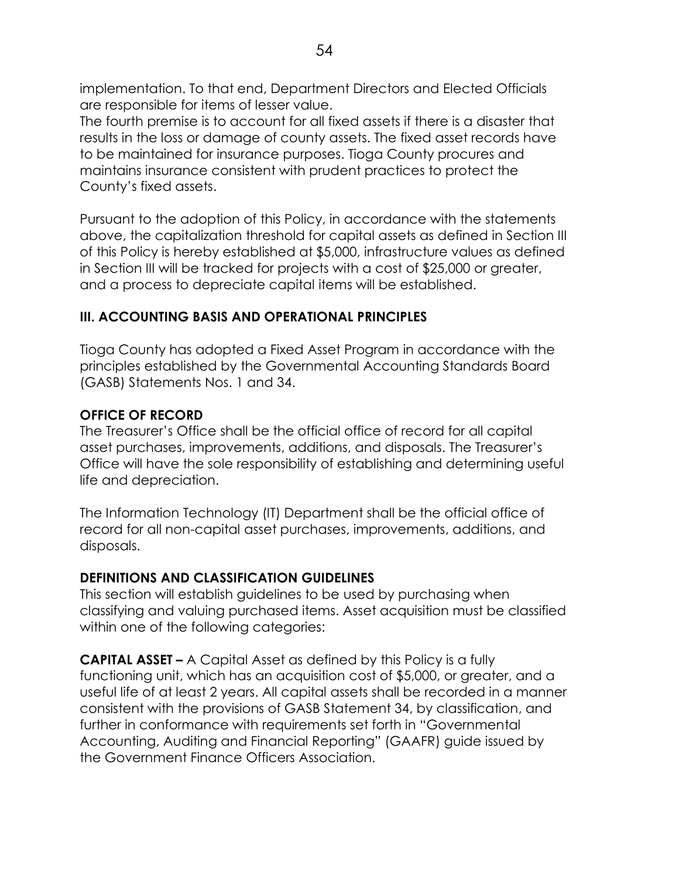implementation. To that end, Department Directors and Elected Officials are responsible for items of lesser value.

The fourth premise is to account for all fixed assets if there is a disaster that results in the loss or damage of county assets. The fixed asset records have to be maintained for insurance purposes. Tioga County procures and maintains insurance consistent with prudent practices to protect the County's fixed assets.

Pursuant to the adoption of this Policy, in accordance with the statements above, the capitalization threshold for capital assets as defined in Section III of this Policy is hereby established at \$5,000, infrastructure values as defined in Section III will be tracked for projects with a cost of \$25,000 or greater, and a process to depreciate capital items will be established.

# **III. ACCOUNTING BASIS AND OPERATIONAL PRINCIPLES**

Tioga County has adopted a Fixed Asset Program in accordance with the principles established by the Governmental Accounting Standards Board (GASB) Statements Nos. 1 and 34.

## **OFFICE OF RECORD**

The Treasurer's Office shall be the official office of record for all capital asset purchases, improvements, additions, and disposals. The Treasurer's Office will have the sole responsibility of establishing and determining useful life and depreciation.

The Information Technology (IT) Department shall be the official office of record for all non-capital asset purchases, improvements, additions, and disposals.

# **DEFINITIONS AND CLASSIFICATION GUIDELINES**

This section will establish guidelines to be used by purchasing when classifying and valuing purchased items. Asset acquisition must be classified within one of the following categories:

**CAPITAL ASSET –** A Capital Asset as defined by this Policy is a fully functioning unit, which has an acquisition cost of \$5,000, or greater, and a useful life of at least 2 years. All capital assets shall be recorded in a manner consistent with the provisions of GASB Statement 34, by classification, and further in conformance with requirements set forth in "Governmental Accounting, Auditing and Financial Reporting" (GAAFR) guide issued by the Government Finance Officers Association.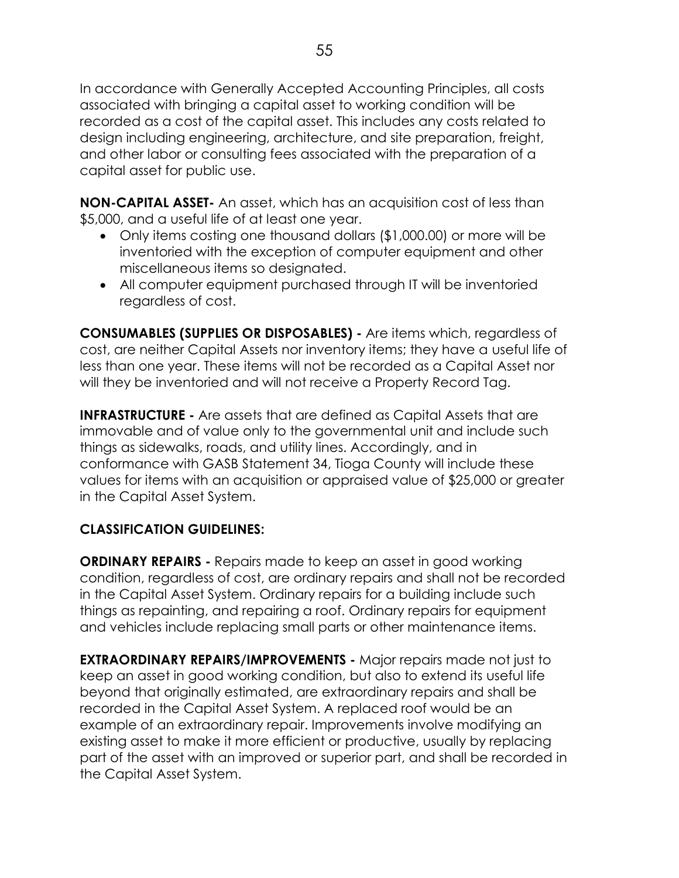In accordance with Generally Accepted Accounting Principles, all costs associated with bringing a capital asset to working condition will be recorded as a cost of the capital asset. This includes any costs related to design including engineering, architecture, and site preparation, freight, and other labor or consulting fees associated with the preparation of a capital asset for public use.

**NON-CAPITAL ASSET-** An asset, which has an acquisition cost of less than \$5,000, and a useful life of at least one year.

- Only items costing one thousand dollars (\$1,000.00) or more will be inventoried with the exception of computer equipment and other miscellaneous items so designated.
- All computer equipment purchased through IT will be inventoried regardless of cost.

**CONSUMABLES (SUPPLIES OR DISPOSABLES) -** Are items which, regardless of cost, are neither Capital Assets nor inventory items; they have a useful life of less than one year. These items will not be recorded as a Capital Asset nor will they be inventoried and will not receive a Property Record Tag.

**INFRASTRUCTURE -** Are assets that are defined as Capital Assets that are immovable and of value only to the governmental unit and include such things as sidewalks, roads, and utility lines. Accordingly, and in conformance with GASB Statement 34, Tioga County will include these values for items with an acquisition or appraised value of \$25,000 or greater in the Capital Asset System.

# **CLASSIFICATION GUIDELINES:**

**ORDINARY REPAIRS -** Repairs made to keep an asset in good working condition, regardless of cost, are ordinary repairs and shall not be recorded in the Capital Asset System. Ordinary repairs for a building include such things as repainting, and repairing a roof. Ordinary repairs for equipment and vehicles include replacing small parts or other maintenance items.

**EXTRAORDINARY REPAIRS/IMPROVEMENTS -** Major repairs made not just to keep an asset in good working condition, but also to extend its useful life beyond that originally estimated, are extraordinary repairs and shall be recorded in the Capital Asset System. A replaced roof would be an example of an extraordinary repair. Improvements involve modifying an existing asset to make it more efficient or productive, usually by replacing part of the asset with an improved or superior part, and shall be recorded in the Capital Asset System.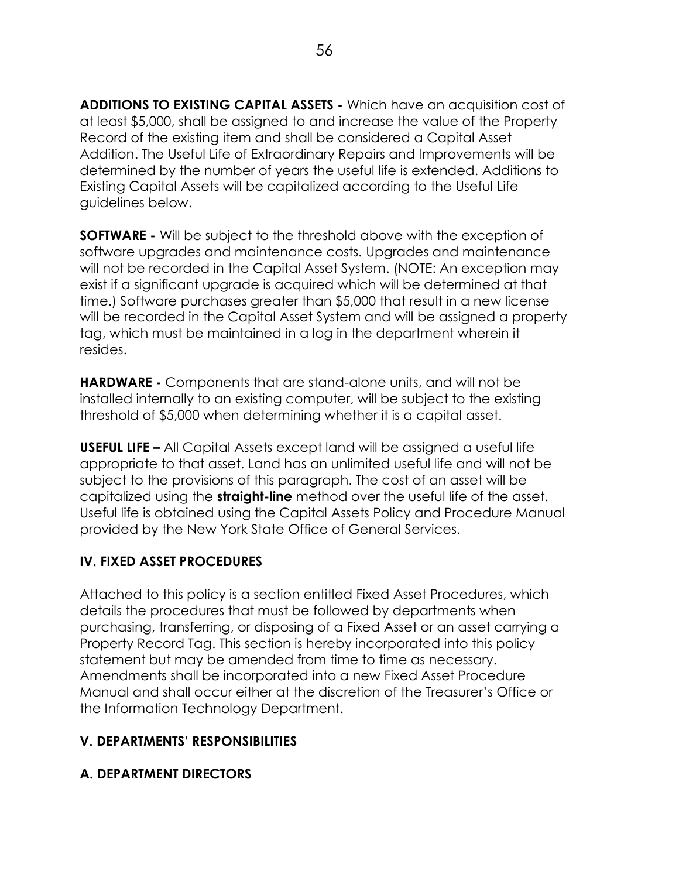**ADDITIONS TO EXISTING CAPITAL ASSETS -** Which have an acquisition cost of at least \$5,000, shall be assigned to and increase the value of the Property Record of the existing item and shall be considered a Capital Asset Addition. The Useful Life of Extraordinary Repairs and Improvements will be determined by the number of years the useful life is extended. Additions to Existing Capital Assets will be capitalized according to the Useful Life guidelines below.

**SOFTWARE -** Will be subject to the threshold above with the exception of software upgrades and maintenance costs. Upgrades and maintenance will not be recorded in the Capital Asset System. (NOTE: An exception may exist if a significant upgrade is acquired which will be determined at that time.) Software purchases greater than \$5,000 that result in a new license will be recorded in the Capital Asset System and will be assigned a property tag, which must be maintained in a log in the department wherein it resides.

**HARDWARE -** Components that are stand-alone units, and will not be installed internally to an existing computer, will be subject to the existing threshold of \$5,000 when determining whether it is a capital asset.

**USEFUL LIFE –** All Capital Assets except land will be assigned a useful life appropriate to that asset. Land has an unlimited useful life and will not be subject to the provisions of this paragraph. The cost of an asset will be capitalized using the **straight-line** method over the useful life of the asset. Useful life is obtained using the Capital Assets Policy and Procedure Manual provided by the New York State Office of General Services.

# **IV. FIXED ASSET PROCEDURES**

Attached to this policy is a section entitled Fixed Asset Procedures, which details the procedures that must be followed by departments when purchasing, transferring, or disposing of a Fixed Asset or an asset carrying a Property Record Tag. This section is hereby incorporated into this policy statement but may be amended from time to time as necessary. Amendments shall be incorporated into a new Fixed Asset Procedure Manual and shall occur either at the discretion of the Treasurer's Office or the Information Technology Department.

# **V. DEPARTMENTS' RESPONSIBILITIES**

# **A. DEPARTMENT DIRECTORS**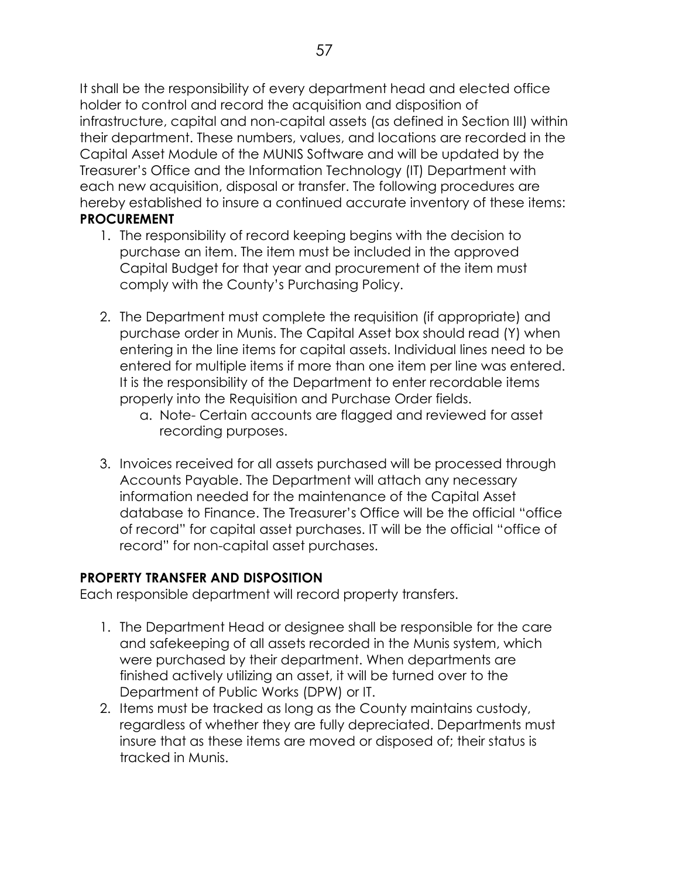It shall be the responsibility of every department head and elected office holder to control and record the acquisition and disposition of infrastructure, capital and non-capital assets (as defined in Section III) within their department. These numbers, values, and locations are recorded in the Capital Asset Module of the MUNIS Software and will be updated by the Treasurer's Office and the Information Technology (IT) Department with each new acquisition, disposal or transfer. The following procedures are hereby established to insure a continued accurate inventory of these items: **PROCUREMENT**

- 1. The responsibility of record keeping begins with the decision to purchase an item. The item must be included in the approved Capital Budget for that year and procurement of the item must comply with the County's Purchasing Policy.
- 2. The Department must complete the requisition (if appropriate) and purchase order in Munis. The Capital Asset box should read (Y) when entering in the line items for capital assets. Individual lines need to be entered for multiple items if more than one item per line was entered. It is the responsibility of the Department to enter recordable items properly into the Requisition and Purchase Order fields.
	- a. Note- Certain accounts are flagged and reviewed for asset recording purposes.
- 3. Invoices received for all assets purchased will be processed through Accounts Payable. The Department will attach any necessary information needed for the maintenance of the Capital Asset database to Finance. The Treasurer's Office will be the official "office of record" for capital asset purchases. IT will be the official "office of record" for non-capital asset purchases.

# **PROPERTY TRANSFER AND DISPOSITION**

Each responsible department will record property transfers.

- 1. The Department Head or designee shall be responsible for the care and safekeeping of all assets recorded in the Munis system, which were purchased by their department. When departments are finished actively utilizing an asset, it will be turned over to the Department of Public Works (DPW) or IT.
- 2. Items must be tracked as long as the County maintains custody, regardless of whether they are fully depreciated. Departments must insure that as these items are moved or disposed of; their status is tracked in Munis.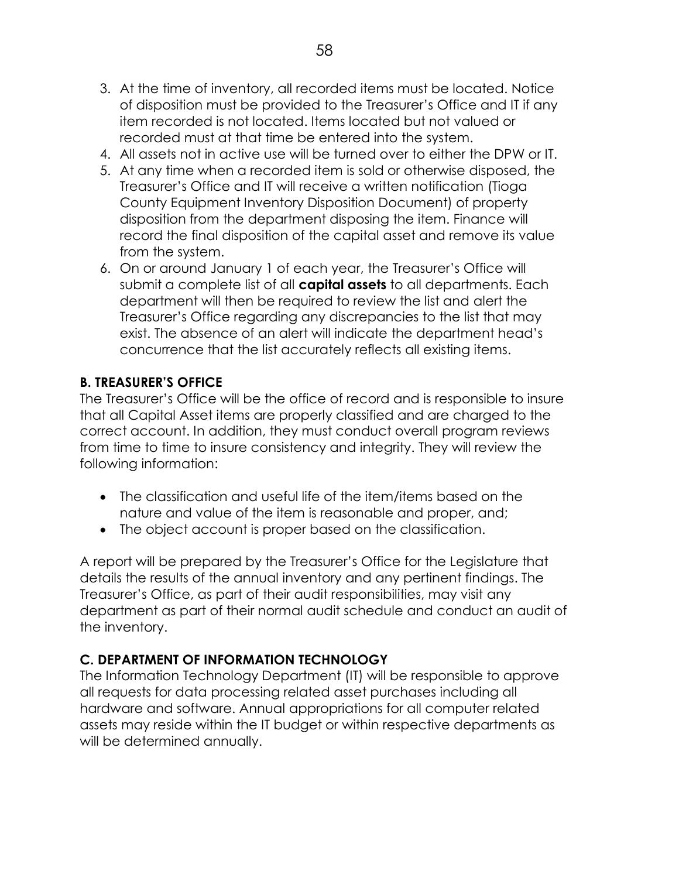- 4. All assets not in active use will be turned over to either the DPW or IT.
- 5. At any time when a recorded item is sold or otherwise disposed, the Treasurer's Office and IT will receive a written notification (Tioga County Equipment Inventory Disposition Document) of property disposition from the department disposing the item. Finance will record the final disposition of the capital asset and remove its value from the system.
- 6. On or around January 1 of each year, the Treasurer's Office will submit a complete list of all **capital assets** to all departments. Each department will then be required to review the list and alert the Treasurer's Office regarding any discrepancies to the list that may exist. The absence of an alert will indicate the department head's concurrence that the list accurately reflects all existing items.

# **B. TREASURER'S OFFICE**

The Treasurer's Office will be the office of record and is responsible to insure that all Capital Asset items are properly classified and are charged to the correct account. In addition, they must conduct overall program reviews from time to time to insure consistency and integrity. They will review the following information:

- The classification and useful life of the item/items based on the nature and value of the item is reasonable and proper, and;
- The object account is proper based on the classification.

A report will be prepared by the Treasurer's Office for the Legislature that details the results of the annual inventory and any pertinent findings. The Treasurer's Office, as part of their audit responsibilities, may visit any department as part of their normal audit schedule and conduct an audit of the inventory.

# **C. DEPARTMENT OF INFORMATION TECHNOLOGY**

The Information Technology Department (IT) will be responsible to approve all requests for data processing related asset purchases including all hardware and software. Annual appropriations for all computer related assets may reside within the IT budget or within respective departments as will be determined annually.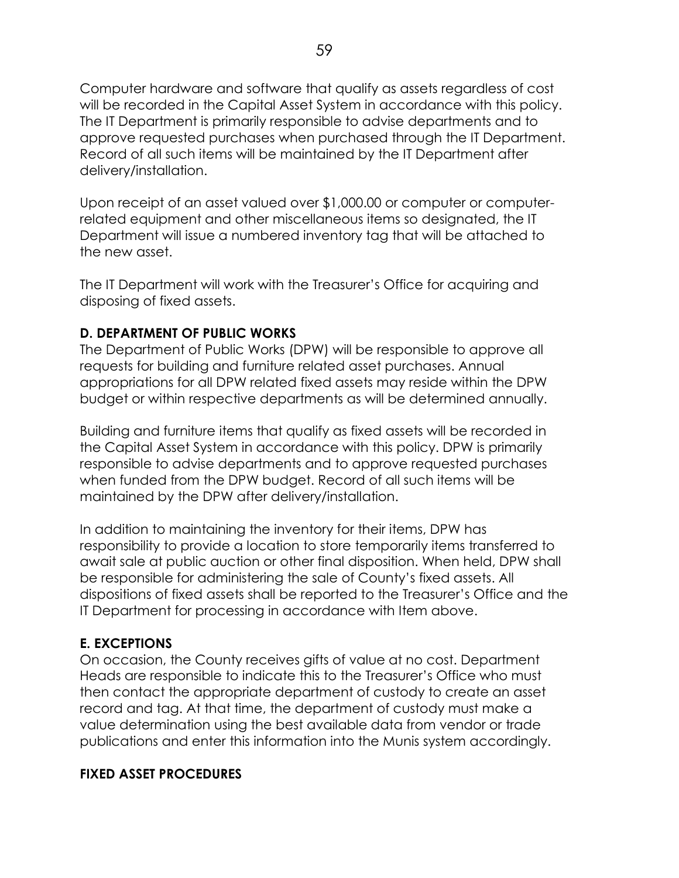Computer hardware and software that qualify as assets regardless of cost will be recorded in the Capital Asset System in accordance with this policy. The IT Department is primarily responsible to advise departments and to approve requested purchases when purchased through the IT Department. Record of all such items will be maintained by the IT Department after delivery/installation.

Upon receipt of an asset valued over \$1,000.00 or computer or computerrelated equipment and other miscellaneous items so designated, the IT Department will issue a numbered inventory tag that will be attached to the new asset.

The IT Department will work with the Treasurer's Office for acquiring and disposing of fixed assets.

## **D. DEPARTMENT OF PUBLIC WORKS**

The Department of Public Works (DPW) will be responsible to approve all requests for building and furniture related asset purchases. Annual appropriations for all DPW related fixed assets may reside within the DPW budget or within respective departments as will be determined annually.

Building and furniture items that qualify as fixed assets will be recorded in the Capital Asset System in accordance with this policy. DPW is primarily responsible to advise departments and to approve requested purchases when funded from the DPW budget. Record of all such items will be maintained by the DPW after delivery/installation.

In addition to maintaining the inventory for their items, DPW has responsibility to provide a location to store temporarily items transferred to await sale at public auction or other final disposition. When held, DPW shall be responsible for administering the sale of County's fixed assets. All dispositions of fixed assets shall be reported to the Treasurer's Office and the IT Department for processing in accordance with Item above.

# **E. EXCEPTIONS**

On occasion, the County receives gifts of value at no cost. Department Heads are responsible to indicate this to the Treasurer's Office who must then contact the appropriate department of custody to create an asset record and tag. At that time, the department of custody must make a value determination using the best available data from vendor or trade publications and enter this information into the Munis system accordingly.

## **FIXED ASSET PROCEDURES**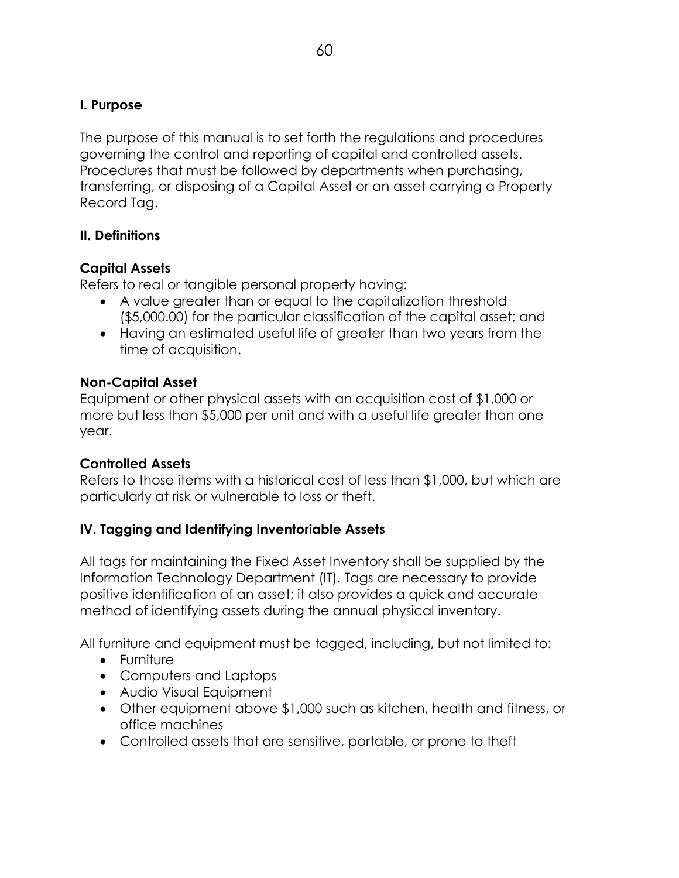The purpose of this manual is to set forth the regulations and procedures governing the control and reporting of capital and controlled assets. Procedures that must be followed by departments when purchasing, transferring, or disposing of a Capital Asset or an asset carrying a Property Record Tag.

## **II. Definitions**

# **Capital Assets**

Refers to real or tangible personal property having:

- A value greater than or equal to the capitalization threshold (\$5,000.00) for the particular classification of the capital asset; and
- Having an estimated useful life of greater than two years from the time of acquisition.

## **Non-Capital Asset**

Equipment or other physical assets with an acquisition cost of \$1,000 or more but less than \$5,000 per unit and with a useful life greater than one year.

## **Controlled Assets**

Refers to those items with a historical cost of less than \$1,000, but which are particularly at risk or vulnerable to loss or theft.

# **IV. Tagging and Identifying Inventoriable Assets**

All tags for maintaining the Fixed Asset Inventory shall be supplied by the Information Technology Department (IT). Tags are necessary to provide positive identification of an asset; it also provides a quick and accurate method of identifying assets during the annual physical inventory.

All furniture and equipment must be tagged, including, but not limited to:

- **•** Furniture
- Computers and Laptops
- Audio Visual Equipment
- Other equipment above \$1,000 such as kitchen, health and fitness, or office machines
- Controlled assets that are sensitive, portable, or prone to theft